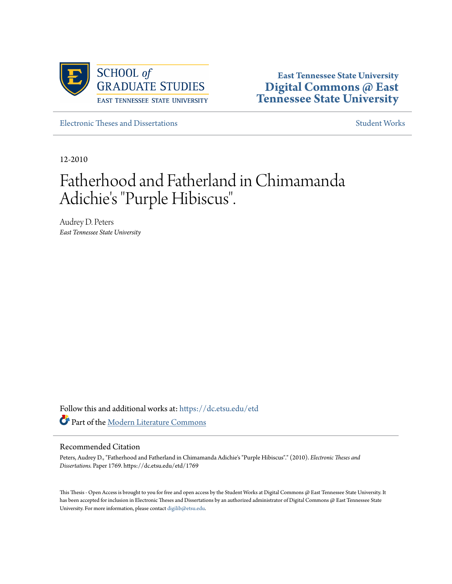

**East Tennessee State University [Digital Commons @ East](https://dc.etsu.edu?utm_source=dc.etsu.edu%2Fetd%2F1769&utm_medium=PDF&utm_campaign=PDFCoverPages) [Tennessee State University](https://dc.etsu.edu?utm_source=dc.etsu.edu%2Fetd%2F1769&utm_medium=PDF&utm_campaign=PDFCoverPages)**

[Electronic Theses and Dissertations](https://dc.etsu.edu/etd?utm_source=dc.etsu.edu%2Fetd%2F1769&utm_medium=PDF&utm_campaign=PDFCoverPages) [Student Works](https://dc.etsu.edu/student-works?utm_source=dc.etsu.edu%2Fetd%2F1769&utm_medium=PDF&utm_campaign=PDFCoverPages) Student Works Student Works

12-2010

# Fatherhood and Fatherland in Chimamanda Adichie's "Purple Hibiscus".

Audrey D. Peters *East Tennessee State University*

Follow this and additional works at: [https://dc.etsu.edu/etd](https://dc.etsu.edu/etd?utm_source=dc.etsu.edu%2Fetd%2F1769&utm_medium=PDF&utm_campaign=PDFCoverPages) Part of the [Modern Literature Commons](http://network.bepress.com/hgg/discipline/1050?utm_source=dc.etsu.edu%2Fetd%2F1769&utm_medium=PDF&utm_campaign=PDFCoverPages)

#### Recommended Citation

Peters, Audrey D., "Fatherhood and Fatherland in Chimamanda Adichie's "Purple Hibiscus"." (2010). *Electronic Theses and Dissertations.* Paper 1769. https://dc.etsu.edu/etd/1769

This Thesis - Open Access is brought to you for free and open access by the Student Works at Digital Commons @ East Tennessee State University. It has been accepted for inclusion in Electronic Theses and Dissertations by an authorized administrator of Digital Commons @ East Tennessee State University. For more information, please contact [digilib@etsu.edu.](mailto:digilib@etsu.edu)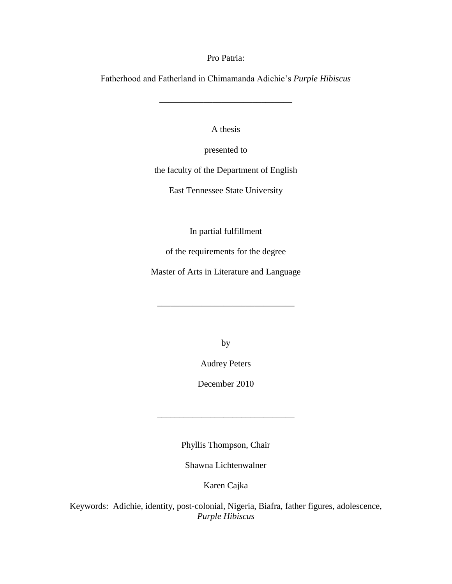Pro Patria:

Fatherhood and Fatherland in Chimamanda Adichie"s *Purple Hibiscus*

\_\_\_\_\_\_\_\_\_\_\_\_\_\_\_\_\_\_\_\_\_\_\_\_\_\_\_\_\_\_

A thesis

presented to

the faculty of the Department of English

East Tennessee State University

In partial fulfillment

of the requirements for the degree

Master of Arts in Literature and Language

\_\_\_\_\_\_\_\_\_\_\_\_\_\_\_\_\_\_\_\_\_\_\_\_\_\_\_\_\_\_\_

by

Audrey Peters

December 2010

Phyllis Thompson, Chair

\_\_\_\_\_\_\_\_\_\_\_\_\_\_\_\_\_\_\_\_\_\_\_\_\_\_\_\_\_\_\_

Shawna Lichtenwalner

Karen Cajka

Keywords: Adichie, identity, post-colonial, Nigeria, Biafra, father figures, adolescence, *Purple Hibiscus*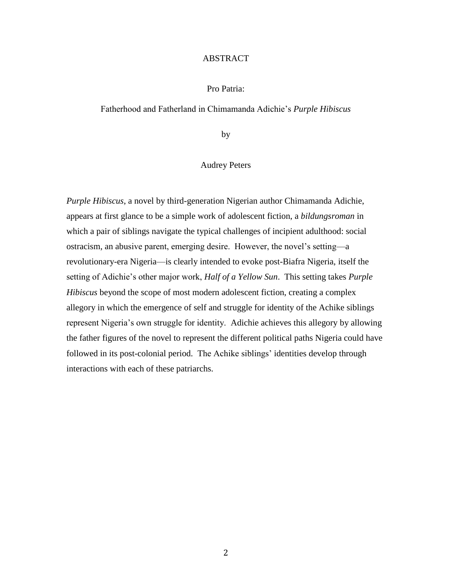#### ABSTRACT

#### Pro Patria:

#### Fatherhood and Fatherland in Chimamanda Adichie"s *Purple Hibiscus*

by

#### Audrey Peters

*Purple Hibiscus*, a novel by third-generation Nigerian author Chimamanda Adichie, appears at first glance to be a simple work of adolescent fiction, a *bildungsroman* in which a pair of siblings navigate the typical challenges of incipient adulthood: social ostracism, an abusive parent, emerging desire. However, the novel"s setting—a revolutionary-era Nigeria—is clearly intended to evoke post-Biafra Nigeria, itself the setting of Adichie"s other major work, *Half of a Yellow Sun*. This setting takes *Purple Hibiscus* beyond the scope of most modern adolescent fiction, creating a complex allegory in which the emergence of self and struggle for identity of the Achike siblings represent Nigeria"s own struggle for identity. Adichie achieves this allegory by allowing the father figures of the novel to represent the different political paths Nigeria could have followed in its post-colonial period. The Achike siblings" identities develop through interactions with each of these patriarchs.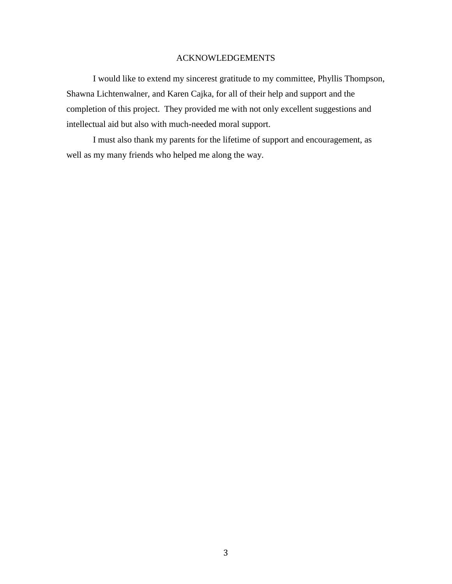## ACKNOWLEDGEMENTS

I would like to extend my sincerest gratitude to my committee, Phyllis Thompson, Shawna Lichtenwalner, and Karen Cajka, for all of their help and support and the completion of this project. They provided me with not only excellent suggestions and intellectual aid but also with much-needed moral support.

I must also thank my parents for the lifetime of support and encouragement, as well as my many friends who helped me along the way.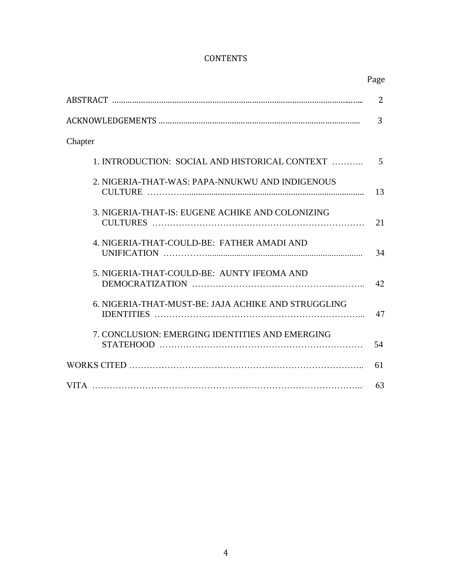# **CONTENTS**

|                                                     | Page           |
|-----------------------------------------------------|----------------|
|                                                     | $\overline{2}$ |
|                                                     | 3              |
| Chapter                                             |                |
| 1. INTRODUCTION: SOCIAL AND HISTORICAL CONTEXT      | 5              |
| 2. NIGERIA-THAT-WAS: PAPA-NNUKWU AND INDIGENOUS     | 13             |
| 3. NIGERIA-THAT-IS: EUGENE ACHIKE AND COLONIZING    | 21             |
| 4. NIGERIA-THAT-COULD-BE: FATHER AMADI AND          | 34             |
| 5. NIGERIA-THAT-COULD-BE: AUNTY IFEOMA AND          | 42             |
| 6. NIGERIA-THAT-MUST-BE: JAJA ACHIKE AND STRUGGLING | 47             |
| 7. CONCLUSION: EMERGING IDENTITIES AND EMERGING     | 54             |
|                                                     | 61             |
|                                                     | 63             |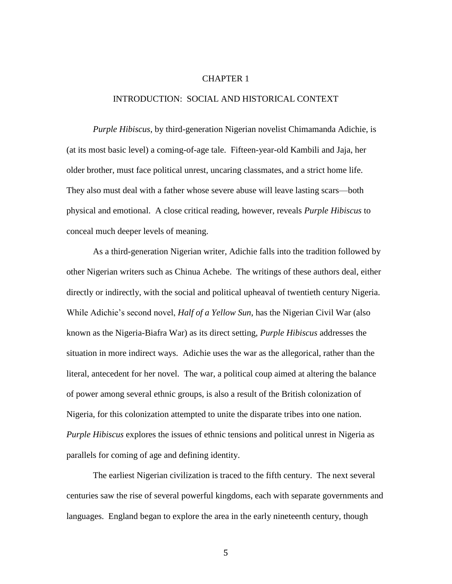#### CHAPTER 1

### INTRODUCTION: SOCIAL AND HISTORICAL CONTEXT

*Purple Hibiscus*, by third-generation Nigerian novelist Chimamanda Adichie, is (at its most basic level) a coming-of-age tale. Fifteen-year-old Kambili and Jaja, her older brother, must face political unrest, uncaring classmates, and a strict home life. They also must deal with a father whose severe abuse will leave lasting scars—both physical and emotional. A close critical reading, however, reveals *Purple Hibiscus* to conceal much deeper levels of meaning.

As a third-generation Nigerian writer, Adichie falls into the tradition followed by other Nigerian writers such as Chinua Achebe. The writings of these authors deal, either directly or indirectly, with the social and political upheaval of twentieth century Nigeria. While Adichie"s second novel, *Half of a Yellow Sun*, has the Nigerian Civil War (also known as the Nigeria-Biafra War) as its direct setting, *Purple Hibiscus* addresses the situation in more indirect ways. Adichie uses the war as the allegorical, rather than the literal, antecedent for her novel. The war, a political coup aimed at altering the balance of power among several ethnic groups, is also a result of the British colonization of Nigeria, for this colonization attempted to unite the disparate tribes into one nation. *Purple Hibiscus* explores the issues of ethnic tensions and political unrest in Nigeria as parallels for coming of age and defining identity.

The earliest Nigerian civilization is traced to the fifth century. The next several centuries saw the rise of several powerful kingdoms, each with separate governments and languages. England began to explore the area in the early nineteenth century, though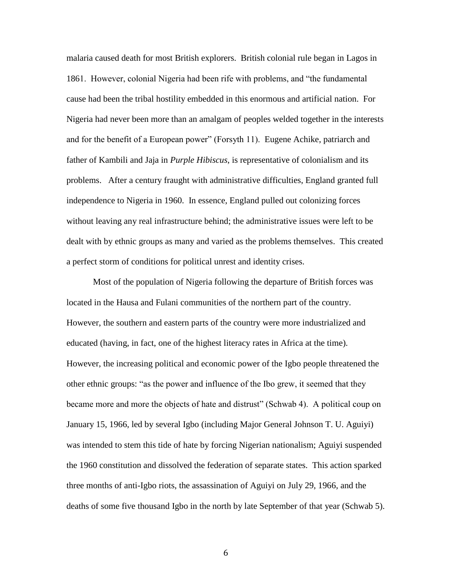malaria caused death for most British explorers. British colonial rule began in Lagos in 1861. However, colonial Nigeria had been rife with problems, and "the fundamental cause had been the tribal hostility embedded in this enormous and artificial nation. For Nigeria had never been more than an amalgam of peoples welded together in the interests and for the benefit of a European power" (Forsyth 11). Eugene Achike, patriarch and father of Kambili and Jaja in *Purple Hibiscus*, is representative of colonialism and its problems. After a century fraught with administrative difficulties, England granted full independence to Nigeria in 1960. In essence, England pulled out colonizing forces without leaving any real infrastructure behind; the administrative issues were left to be dealt with by ethnic groups as many and varied as the problems themselves. This created a perfect storm of conditions for political unrest and identity crises.

Most of the population of Nigeria following the departure of British forces was located in the Hausa and Fulani communities of the northern part of the country. However, the southern and eastern parts of the country were more industrialized and educated (having, in fact, one of the highest literacy rates in Africa at the time). However, the increasing political and economic power of the Igbo people threatened the other ethnic groups: "as the power and influence of the Ibo grew, it seemed that they became more and more the objects of hate and distrust" (Schwab 4). A political coup on January 15, 1966, led by several Igbo (including Major General Johnson T. U. Aguiyi) was intended to stem this tide of hate by forcing Nigerian nationalism; Aguiyi suspended the 1960 constitution and dissolved the federation of separate states. This action sparked three months of anti-Igbo riots, the assassination of Aguiyi on July 29, 1966, and the deaths of some five thousand Igbo in the north by late September of that year (Schwab 5).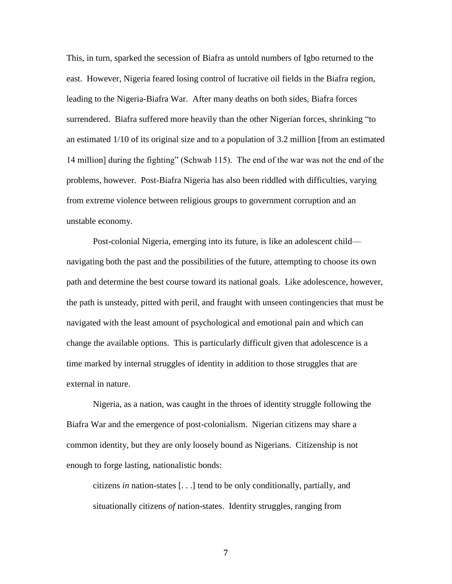This, in turn, sparked the secession of Biafra as untold numbers of Igbo returned to the east. However, Nigeria feared losing control of lucrative oil fields in the Biafra region, leading to the Nigeria-Biafra War. After many deaths on both sides, Biafra forces surrendered. Biafra suffered more heavily than the other Nigerian forces, shrinking "to an estimated 1/10 of its original size and to a population of 3.2 million [from an estimated 14 million] during the fighting" (Schwab 115). The end of the war was not the end of the problems, however. Post-Biafra Nigeria has also been riddled with difficulties, varying from extreme violence between religious groups to government corruption and an unstable economy.

Post-colonial Nigeria, emerging into its future, is like an adolescent child navigating both the past and the possibilities of the future, attempting to choose its own path and determine the best course toward its national goals. Like adolescence, however, the path is unsteady, pitted with peril, and fraught with unseen contingencies that must be navigated with the least amount of psychological and emotional pain and which can change the available options. This is particularly difficult given that adolescence is a time marked by internal struggles of identity in addition to those struggles that are external in nature.

Nigeria, as a nation, was caught in the throes of identity struggle following the Biafra War and the emergence of post-colonialism. Nigerian citizens may share a common identity, but they are only loosely bound as Nigerians. Citizenship is not enough to forge lasting, nationalistic bonds:

citizens *in* nation-states [. . .] tend to be only conditionally, partially, and situationally citizens *of* nation-states. Identity struggles, ranging from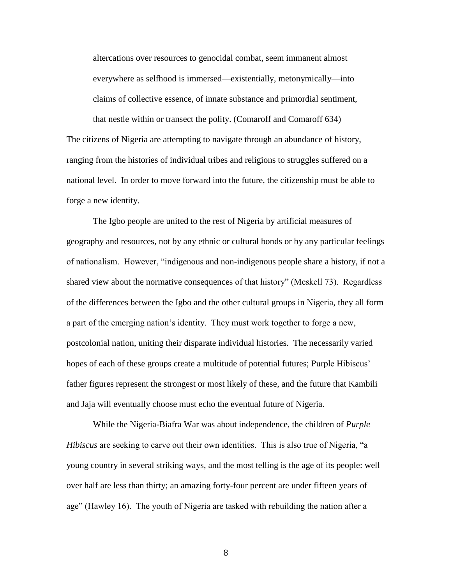altercations over resources to genocidal combat, seem immanent almost everywhere as selfhood is immersed—existentially, metonymically—into claims of collective essence, of innate substance and primordial sentiment, that nestle within or transect the polity. (Comaroff and Comaroff 634)

The citizens of Nigeria are attempting to navigate through an abundance of history, ranging from the histories of individual tribes and religions to struggles suffered on a national level. In order to move forward into the future, the citizenship must be able to forge a new identity.

The Igbo people are united to the rest of Nigeria by artificial measures of geography and resources, not by any ethnic or cultural bonds or by any particular feelings of nationalism. However, "indigenous and non-indigenous people share a history, if not a shared view about the normative consequences of that history" (Meskell 73). Regardless of the differences between the Igbo and the other cultural groups in Nigeria, they all form a part of the emerging nation"s identity. They must work together to forge a new, postcolonial nation, uniting their disparate individual histories. The necessarily varied hopes of each of these groups create a multitude of potential futures; Purple Hibiscus' father figures represent the strongest or most likely of these, and the future that Kambili and Jaja will eventually choose must echo the eventual future of Nigeria.

While the Nigeria-Biafra War was about independence, the children of *Purple Hibiscus* are seeking to carve out their own identities. This is also true of Nigeria, "a young country in several striking ways, and the most telling is the age of its people: well over half are less than thirty; an amazing forty-four percent are under fifteen years of age" (Hawley 16). The youth of Nigeria are tasked with rebuilding the nation after a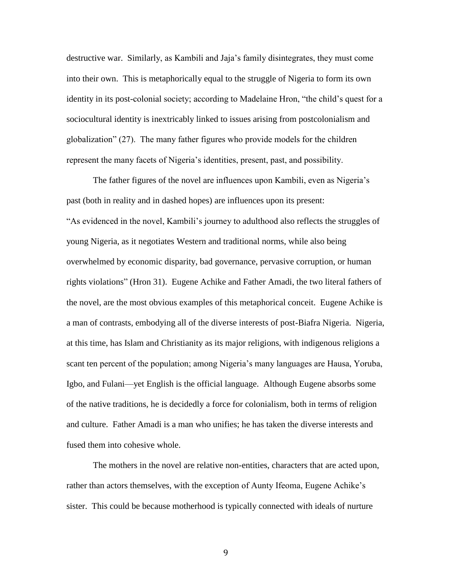destructive war. Similarly, as Kambili and Jaja"s family disintegrates, they must come into their own. This is metaphorically equal to the struggle of Nigeria to form its own identity in its post-colonial society; according to Madelaine Hron, "the child"s quest for a sociocultural identity is inextricably linked to issues arising from postcolonialism and globalization" (27). The many father figures who provide models for the children represent the many facets of Nigeria"s identities, present, past, and possibility.

The father figures of the novel are influences upon Kambili, even as Nigeria's past (both in reality and in dashed hopes) are influences upon its present: "As evidenced in the novel, Kambili"s journey to adulthood also reflects the struggles of young Nigeria, as it negotiates Western and traditional norms, while also being overwhelmed by economic disparity, bad governance, pervasive corruption, or human rights violations" (Hron 31). Eugene Achike and Father Amadi, the two literal fathers of the novel, are the most obvious examples of this metaphorical conceit. Eugene Achike is a man of contrasts, embodying all of the diverse interests of post-Biafra Nigeria. Nigeria, at this time, has Islam and Christianity as its major religions, with indigenous religions a scant ten percent of the population; among Nigeria's many languages are Hausa, Yoruba, Igbo, and Fulani—yet English is the official language. Although Eugene absorbs some of the native traditions, he is decidedly a force for colonialism, both in terms of religion and culture. Father Amadi is a man who unifies; he has taken the diverse interests and fused them into cohesive whole.

The mothers in the novel are relative non-entities, characters that are acted upon, rather than actors themselves, with the exception of Aunty Ifeoma, Eugene Achike"s sister. This could be because motherhood is typically connected with ideals of nurture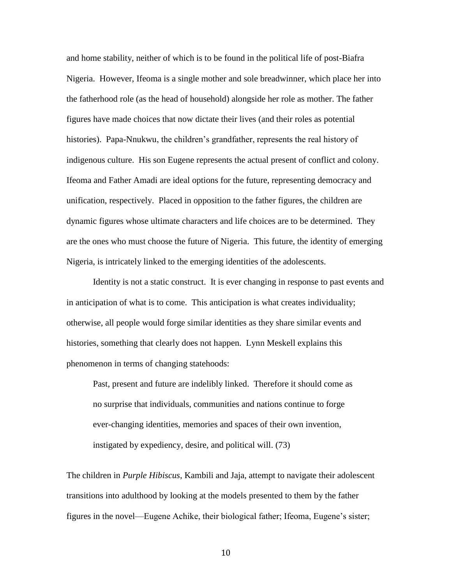and home stability, neither of which is to be found in the political life of post-Biafra Nigeria. However, Ifeoma is a single mother and sole breadwinner, which place her into the fatherhood role (as the head of household) alongside her role as mother. The father figures have made choices that now dictate their lives (and their roles as potential histories). Papa-Nnukwu, the children's grandfather, represents the real history of indigenous culture. His son Eugene represents the actual present of conflict and colony. Ifeoma and Father Amadi are ideal options for the future, representing democracy and unification, respectively. Placed in opposition to the father figures, the children are dynamic figures whose ultimate characters and life choices are to be determined. They are the ones who must choose the future of Nigeria. This future, the identity of emerging Nigeria, is intricately linked to the emerging identities of the adolescents.

Identity is not a static construct. It is ever changing in response to past events and in anticipation of what is to come. This anticipation is what creates individuality; otherwise, all people would forge similar identities as they share similar events and histories, something that clearly does not happen. Lynn Meskell explains this phenomenon in terms of changing statehoods:

Past, present and future are indelibly linked. Therefore it should come as no surprise that individuals, communities and nations continue to forge ever-changing identities, memories and spaces of their own invention, instigated by expediency, desire, and political will. (73)

The children in *Purple Hibiscus*, Kambili and Jaja, attempt to navigate their adolescent transitions into adulthood by looking at the models presented to them by the father figures in the novel—Eugene Achike, their biological father; Ifeoma, Eugene"s sister;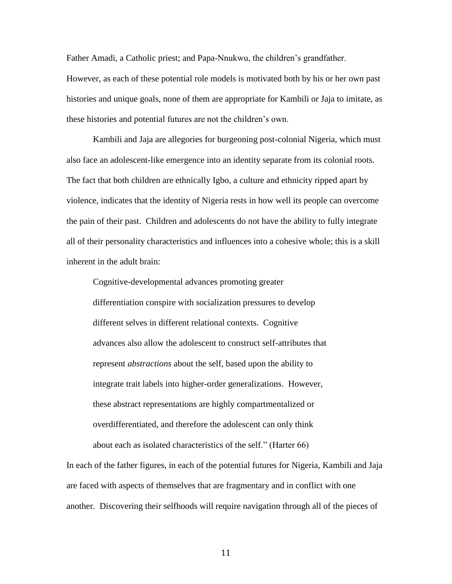Father Amadi, a Catholic priest; and Papa-Nnukwu, the children"s grandfather. However, as each of these potential role models is motivated both by his or her own past histories and unique goals, none of them are appropriate for Kambili or Jaja to imitate, as these histories and potential futures are not the children"s own.

Kambili and Jaja are allegories for burgeoning post-colonial Nigeria, which must also face an adolescent-like emergence into an identity separate from its colonial roots. The fact that both children are ethnically Igbo, a culture and ethnicity ripped apart by violence, indicates that the identity of Nigeria rests in how well its people can overcome the pain of their past. Children and adolescents do not have the ability to fully integrate all of their personality characteristics and influences into a cohesive whole; this is a skill inherent in the adult brain:

Cognitive-developmental advances promoting greater differentiation conspire with socialization pressures to develop different selves in different relational contexts. Cognitive advances also allow the adolescent to construct self-attributes that represent *abstractions* about the self, based upon the ability to integrate trait labels into higher-order generalizations. However, these abstract representations are highly compartmentalized or overdifferentiated, and therefore the adolescent can only think about each as isolated characteristics of the self." (Harter 66)

In each of the father figures, in each of the potential futures for Nigeria, Kambili and Jaja are faced with aspects of themselves that are fragmentary and in conflict with one another. Discovering their selfhoods will require navigation through all of the pieces of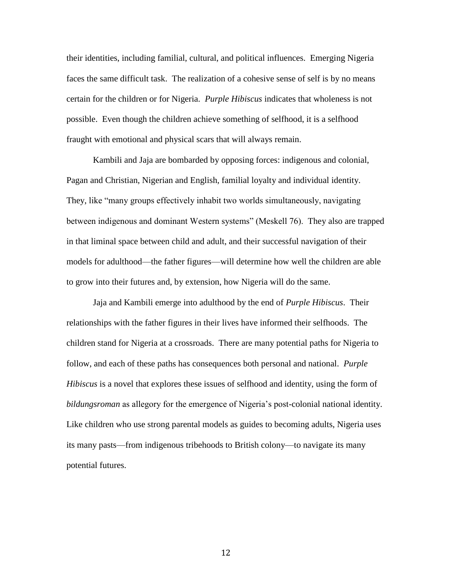their identities, including familial, cultural, and political influences. Emerging Nigeria faces the same difficult task. The realization of a cohesive sense of self is by no means certain for the children or for Nigeria. *Purple Hibiscus* indicates that wholeness is not possible. Even though the children achieve something of selfhood, it is a selfhood fraught with emotional and physical scars that will always remain.

Kambili and Jaja are bombarded by opposing forces: indigenous and colonial, Pagan and Christian, Nigerian and English, familial loyalty and individual identity. They, like "many groups effectively inhabit two worlds simultaneously, navigating between indigenous and dominant Western systems" (Meskell 76).They also are trapped in that liminal space between child and adult, and their successful navigation of their models for adulthood—the father figures—will determine how well the children are able to grow into their futures and, by extension, how Nigeria will do the same.

Jaja and Kambili emerge into adulthood by the end of *Purple Hibiscus*. Their relationships with the father figures in their lives have informed their selfhoods. The children stand for Nigeria at a crossroads. There are many potential paths for Nigeria to follow, and each of these paths has consequences both personal and national. *Purple Hibiscus* is a novel that explores these issues of selfhood and identity, using the form of *bildungsroman* as allegory for the emergence of Nigeria"s post-colonial national identity. Like children who use strong parental models as guides to becoming adults, Nigeria uses its many pasts—from indigenous tribehoods to British colony—to navigate its many potential futures.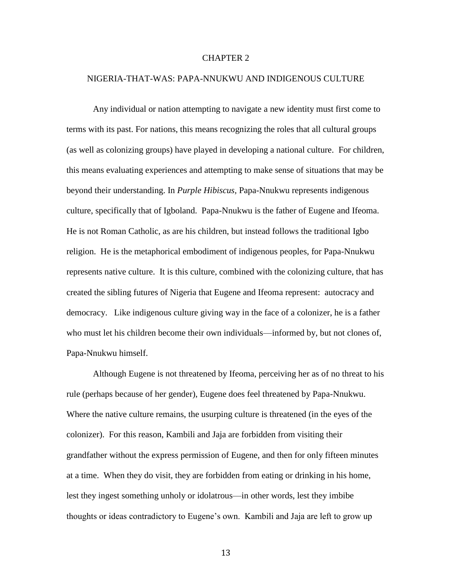#### CHAPTER 2

#### NIGERIA-THAT-WAS: PAPA-NNUKWU AND INDIGENOUS CULTURE

Any individual or nation attempting to navigate a new identity must first come to terms with its past. For nations, this means recognizing the roles that all cultural groups (as well as colonizing groups) have played in developing a national culture. For children, this means evaluating experiences and attempting to make sense of situations that may be beyond their understanding. In *Purple Hibiscus,* Papa-Nnukwu represents indigenous culture, specifically that of Igboland. Papa-Nnukwu is the father of Eugene and Ifeoma. He is not Roman Catholic, as are his children, but instead follows the traditional Igbo religion. He is the metaphorical embodiment of indigenous peoples, for Papa-Nnukwu represents native culture. It is this culture, combined with the colonizing culture, that has created the sibling futures of Nigeria that Eugene and Ifeoma represent: autocracy and democracy. Like indigenous culture giving way in the face of a colonizer, he is a father who must let his children become their own individuals—informed by, but not clones of, Papa-Nnukwu himself.

Although Eugene is not threatened by Ifeoma, perceiving her as of no threat to his rule (perhaps because of her gender), Eugene does feel threatened by Papa-Nnukwu. Where the native culture remains, the usurping culture is threatened (in the eyes of the colonizer). For this reason, Kambili and Jaja are forbidden from visiting their grandfather without the express permission of Eugene, and then for only fifteen minutes at a time. When they do visit, they are forbidden from eating or drinking in his home, lest they ingest something unholy or idolatrous—in other words, lest they imbibe thoughts or ideas contradictory to Eugene"s own. Kambili and Jaja are left to grow up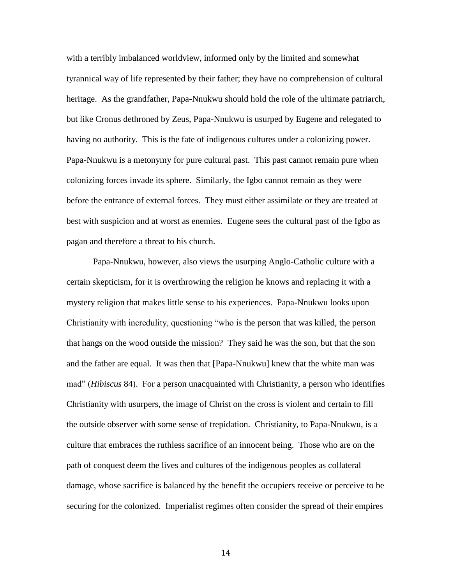with a terribly imbalanced worldview, informed only by the limited and somewhat tyrannical way of life represented by their father; they have no comprehension of cultural heritage. As the grandfather, Papa-Nnukwu should hold the role of the ultimate patriarch, but like Cronus dethroned by Zeus, Papa-Nnukwu is usurped by Eugene and relegated to having no authority. This is the fate of indigenous cultures under a colonizing power. Papa-Nnukwu is a metonymy for pure cultural past. This past cannot remain pure when colonizing forces invade its sphere. Similarly, the Igbo cannot remain as they were before the entrance of external forces. They must either assimilate or they are treated at best with suspicion and at worst as enemies. Eugene sees the cultural past of the Igbo as pagan and therefore a threat to his church.

Papa-Nnukwu, however, also views the usurping Anglo-Catholic culture with a certain skepticism, for it is overthrowing the religion he knows and replacing it with a mystery religion that makes little sense to his experiences. Papa-Nnukwu looks upon Christianity with incredulity, questioning "who is the person that was killed, the person that hangs on the wood outside the mission? They said he was the son, but that the son and the father are equal. It was then that [Papa-Nnukwu] knew that the white man was mad" (*Hibiscus* 84). For a person unacquainted with Christianity, a person who identifies Christianity with usurpers, the image of Christ on the cross is violent and certain to fill the outside observer with some sense of trepidation. Christianity, to Papa-Nnukwu, is a culture that embraces the ruthless sacrifice of an innocent being. Those who are on the path of conquest deem the lives and cultures of the indigenous peoples as collateral damage, whose sacrifice is balanced by the benefit the occupiers receive or perceive to be securing for the colonized. Imperialist regimes often consider the spread of their empires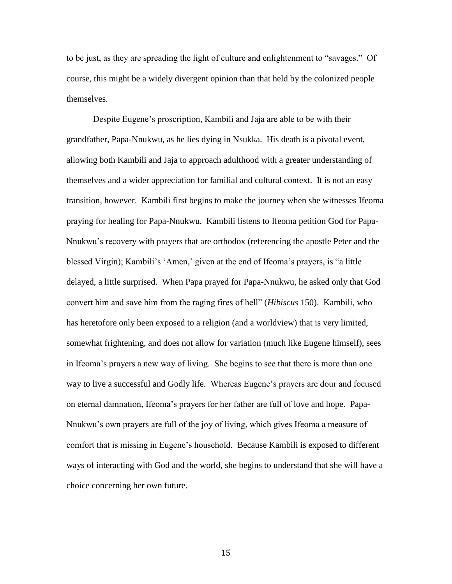to be just, as they are spreading the light of culture and enlightenment to "savages." Of course, this might be a widely divergent opinion than that held by the colonized people themselves.

Despite Eugene"s proscription, Kambili and Jaja are able to be with their grandfather, Papa-Nnukwu, as he lies dying in Nsukka. His death is a pivotal event, allowing both Kambili and Jaja to approach adulthood with a greater understanding of themselves and a wider appreciation for familial and cultural context. It is not an easy transition, however. Kambili first begins to make the journey when she witnesses Ifeoma praying for healing for Papa-Nnukwu. Kambili listens to Ifeoma petition God for Papa-Nnukwu"s recovery with prayers that are orthodox (referencing the apostle Peter and the blessed Virgin); Kambili's 'Amen,' given at the end of Ifeoma's prayers, is "a little delayed, a little surprised. When Papa prayed for Papa-Nnukwu, he asked only that God convert him and save him from the raging fires of hell" (*Hibiscus* 150). Kambili, who has heretofore only been exposed to a religion (and a worldview) that is very limited, somewhat frightening, and does not allow for variation (much like Eugene himself), sees in Ifeoma"s prayers a new way of living. She begins to see that there is more than one way to live a successful and Godly life. Whereas Eugene"s prayers are dour and focused on eternal damnation, Ifeoma"s prayers for her father are full of love and hope. Papa-Nnukwu"s own prayers are full of the joy of living, which gives Ifeoma a measure of comfort that is missing in Eugene"s household. Because Kambili is exposed to different ways of interacting with God and the world, she begins to understand that she will have a choice concerning her own future.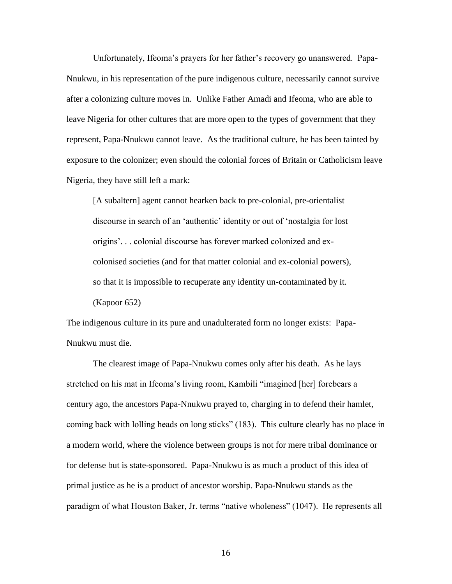Unfortunately, Ifeoma"s prayers for her father"s recovery go unanswered. Papa-Nnukwu, in his representation of the pure indigenous culture, necessarily cannot survive after a colonizing culture moves in. Unlike Father Amadi and Ifeoma, who are able to leave Nigeria for other cultures that are more open to the types of government that they represent, Papa-Nnukwu cannot leave. As the traditional culture, he has been tainted by exposure to the colonizer; even should the colonial forces of Britain or Catholicism leave Nigeria, they have still left a mark:

[A subaltern] agent cannot hearken back to pre-colonial, pre-orientalist discourse in search of an "authentic" identity or out of "nostalgia for lost origins". . . colonial discourse has forever marked colonized and excolonised societies (and for that matter colonial and ex-colonial powers), so that it is impossible to recuperate any identity un-contaminated by it.

(Kapoor 652)

The indigenous culture in its pure and unadulterated form no longer exists: Papa-Nnukwu must die.

The clearest image of Papa-Nnukwu comes only after his death. As he lays stretched on his mat in Ifeoma"s living room, Kambili "imagined [her] forebears a century ago, the ancestors Papa-Nnukwu prayed to, charging in to defend their hamlet, coming back with lolling heads on long sticks" (183). This culture clearly has no place in a modern world, where the violence between groups is not for mere tribal dominance or for defense but is state-sponsored. Papa-Nnukwu is as much a product of this idea of primal justice as he is a product of ancestor worship. Papa-Nnukwu stands as the paradigm of what Houston Baker, Jr. terms "native wholeness" (1047). He represents all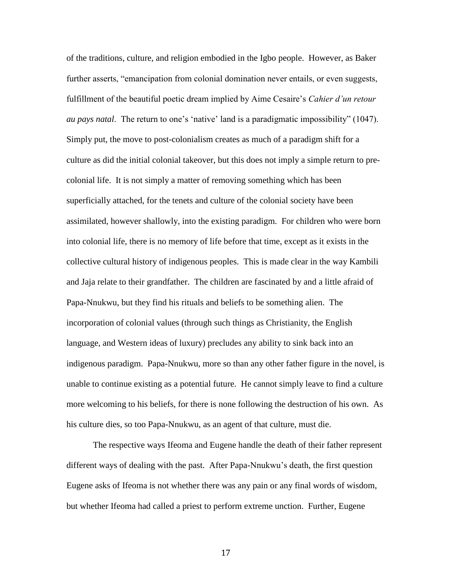of the traditions, culture, and religion embodied in the Igbo people. However, as Baker further asserts, "emancipation from colonial domination never entails, or even suggests, fulfillment of the beautiful poetic dream implied by Aime Cesaire"s *Cahier d'un retour au pays natal*. The return to one"s "native" land is a paradigmatic impossibility" (1047). Simply put, the move to post-colonialism creates as much of a paradigm shift for a culture as did the initial colonial takeover, but this does not imply a simple return to precolonial life. It is not simply a matter of removing something which has been superficially attached, for the tenets and culture of the colonial society have been assimilated, however shallowly, into the existing paradigm. For children who were born into colonial life, there is no memory of life before that time, except as it exists in the collective cultural history of indigenous peoples. This is made clear in the way Kambili and Jaja relate to their grandfather. The children are fascinated by and a little afraid of Papa-Nnukwu, but they find his rituals and beliefs to be something alien. The incorporation of colonial values (through such things as Christianity, the English language, and Western ideas of luxury) precludes any ability to sink back into an indigenous paradigm. Papa-Nnukwu, more so than any other father figure in the novel, is unable to continue existing as a potential future. He cannot simply leave to find a culture more welcoming to his beliefs, for there is none following the destruction of his own. As his culture dies, so too Papa-Nnukwu, as an agent of that culture, must die.

The respective ways Ifeoma and Eugene handle the death of their father represent different ways of dealing with the past. After Papa-Nnukwu"s death, the first question Eugene asks of Ifeoma is not whether there was any pain or any final words of wisdom, but whether Ifeoma had called a priest to perform extreme unction. Further, Eugene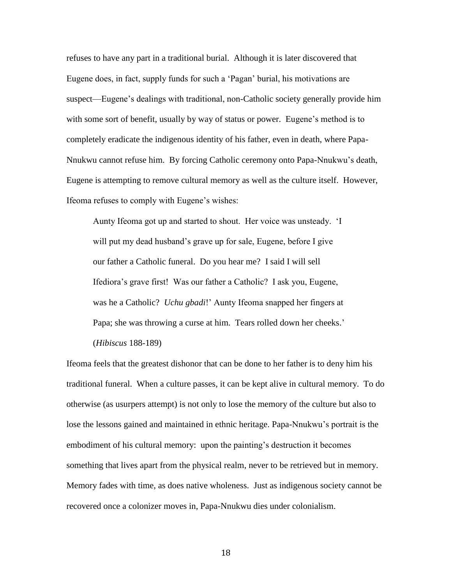refuses to have any part in a traditional burial. Although it is later discovered that Eugene does, in fact, supply funds for such a "Pagan" burial, his motivations are suspect—Eugene"s dealings with traditional, non-Catholic society generally provide him with some sort of benefit, usually by way of status or power. Eugene's method is to completely eradicate the indigenous identity of his father, even in death, where Papa-Nnukwu cannot refuse him. By forcing Catholic ceremony onto Papa-Nnukwu"s death, Eugene is attempting to remove cultural memory as well as the culture itself. However, Ifeoma refuses to comply with Eugene's wishes:

Aunty Ifeoma got up and started to shout. Her voice was unsteady. "I will put my dead husband's grave up for sale, Eugene, before I give our father a Catholic funeral. Do you hear me? I said I will sell Ifediora"s grave first! Was our father a Catholic? I ask you, Eugene, was he a Catholic? *Uchu gbadi*!" Aunty Ifeoma snapped her fingers at Papa; she was throwing a curse at him. Tears rolled down her cheeks.' (*Hibiscus* 188-189)

Ifeoma feels that the greatest dishonor that can be done to her father is to deny him his traditional funeral. When a culture passes, it can be kept alive in cultural memory. To do otherwise (as usurpers attempt) is not only to lose the memory of the culture but also to lose the lessons gained and maintained in ethnic heritage. Papa-Nnukwu"s portrait is the embodiment of his cultural memory: upon the painting's destruction it becomes something that lives apart from the physical realm, never to be retrieved but in memory. Memory fades with time, as does native wholeness. Just as indigenous society cannot be recovered once a colonizer moves in, Papa-Nnukwu dies under colonialism.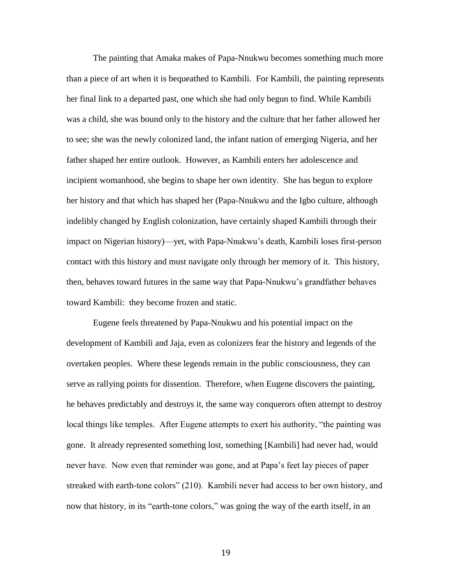The painting that Amaka makes of Papa-Nnukwu becomes something much more than a piece of art when it is bequeathed to Kambili. For Kambili, the painting represents her final link to a departed past, one which she had only begun to find. While Kambili was a child, she was bound only to the history and the culture that her father allowed her to see; she was the newly colonized land, the infant nation of emerging Nigeria, and her father shaped her entire outlook. However, as Kambili enters her adolescence and incipient womanhood, she begins to shape her own identity. She has begun to explore her history and that which has shaped her (Papa-Nnukwu and the Igbo culture, although indelibly changed by English colonization, have certainly shaped Kambili through their impact on Nigerian history)—yet, with Papa-Nnukwu"s death, Kambili loses first-person contact with this history and must navigate only through her memory of it. This history, then, behaves toward futures in the same way that Papa-Nnukwu"s grandfather behaves toward Kambili: they become frozen and static.

Eugene feels threatened by Papa-Nnukwu and his potential impact on the development of Kambili and Jaja, even as colonizers fear the history and legends of the overtaken peoples. Where these legends remain in the public consciousness, they can serve as rallying points for dissention. Therefore, when Eugene discovers the painting, he behaves predictably and destroys it, the same way conquerors often attempt to destroy local things like temples. After Eugene attempts to exert his authority, "the painting was gone. It already represented something lost, something [Kambili] had never had, would never have. Now even that reminder was gone, and at Papa"s feet lay pieces of paper streaked with earth-tone colors" (210). Kambili never had access to her own history, and now that history, in its "earth-tone colors," was going the way of the earth itself, in an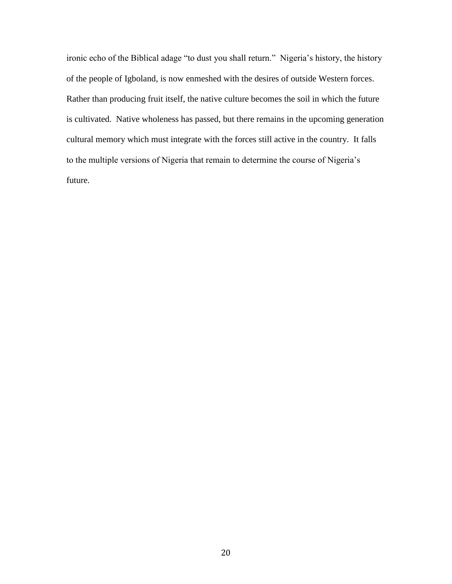ironic echo of the Biblical adage "to dust you shall return." Nigeria's history, the history of the people of Igboland, is now enmeshed with the desires of outside Western forces. Rather than producing fruit itself, the native culture becomes the soil in which the future is cultivated. Native wholeness has passed, but there remains in the upcoming generation cultural memory which must integrate with the forces still active in the country. It falls to the multiple versions of Nigeria that remain to determine the course of Nigeria's future.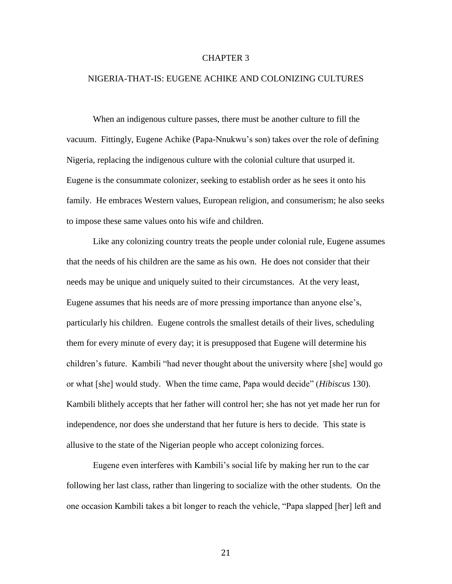#### CHAPTER 3

#### NIGERIA-THAT-IS: EUGENE ACHIKE AND COLONIZING CULTURES

When an indigenous culture passes, there must be another culture to fill the vacuum. Fittingly, Eugene Achike (Papa-Nnukwu"s son) takes over the role of defining Nigeria, replacing the indigenous culture with the colonial culture that usurped it. Eugene is the consummate colonizer, seeking to establish order as he sees it onto his family. He embraces Western values, European religion, and consumerism; he also seeks to impose these same values onto his wife and children.

Like any colonizing country treats the people under colonial rule, Eugene assumes that the needs of his children are the same as his own. He does not consider that their needs may be unique and uniquely suited to their circumstances. At the very least, Eugene assumes that his needs are of more pressing importance than anyone else"s, particularly his children. Eugene controls the smallest details of their lives, scheduling them for every minute of every day; it is presupposed that Eugene will determine his children"s future. Kambili "had never thought about the university where [she] would go or what [she] would study. When the time came, Papa would decide" (*Hibiscus* 130). Kambili blithely accepts that her father will control her; she has not yet made her run for independence, nor does she understand that her future is hers to decide. This state is allusive to the state of the Nigerian people who accept colonizing forces.

Eugene even interferes with Kambili"s social life by making her run to the car following her last class, rather than lingering to socialize with the other students. On the one occasion Kambili takes a bit longer to reach the vehicle, "Papa slapped [her] left and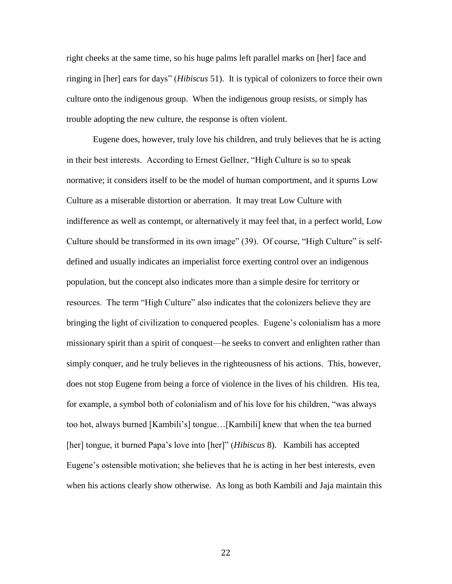right cheeks at the same time, so his huge palms left parallel marks on [her] face and ringing in [her] ears for days" (*Hibiscus* 51). It is typical of colonizers to force their own culture onto the indigenous group. When the indigenous group resists, or simply has trouble adopting the new culture, the response is often violent.

Eugene does, however, truly love his children, and truly believes that he is acting in their best interests. According to Ernest Gellner, "High Culture is so to speak normative; it considers itself to be the model of human comportment, and it spurns Low Culture as a miserable distortion or aberration. It may treat Low Culture with indifference as well as contempt, or alternatively it may feel that, in a perfect world, Low Culture should be transformed in its own image" (39). Of course, "High Culture" is selfdefined and usually indicates an imperialist force exerting control over an indigenous population, but the concept also indicates more than a simple desire for territory or resources. The term "High Culture" also indicates that the colonizers believe they are bringing the light of civilization to conquered peoples. Eugene"s colonialism has a more missionary spirit than a spirit of conquest—he seeks to convert and enlighten rather than simply conquer, and he truly believes in the righteousness of his actions. This, however, does not stop Eugene from being a force of violence in the lives of his children. His tea, for example, a symbol both of colonialism and of his love for his children, "was always too hot, always burned [Kambili"s] tongue…[Kambili] knew that when the tea burned [her] tongue, it burned Papa"s love into [her]" (*Hibiscus* 8). Kambili has accepted Eugene's ostensible motivation; she believes that he is acting in her best interests, even when his actions clearly show otherwise. As long as both Kambili and Jaja maintain this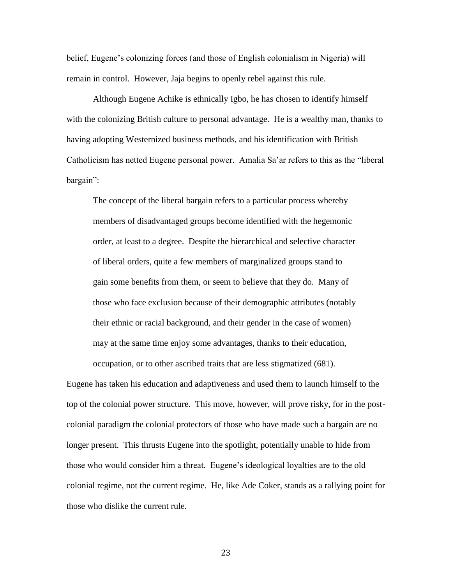belief, Eugene"s colonizing forces (and those of English colonialism in Nigeria) will remain in control. However, Jaja begins to openly rebel against this rule.

Although Eugene Achike is ethnically Igbo, he has chosen to identify himself with the colonizing British culture to personal advantage. He is a wealthy man, thanks to having adopting Westernized business methods, and his identification with British Catholicism has netted Eugene personal power. Amalia Sa"ar refers to this as the "liberal bargain":

The concept of the liberal bargain refers to a particular process whereby members of disadvantaged groups become identified with the hegemonic order, at least to a degree. Despite the hierarchical and selective character of liberal orders, quite a few members of marginalized groups stand to gain some benefits from them, or seem to believe that they do. Many of those who face exclusion because of their demographic attributes (notably their ethnic or racial background, and their gender in the case of women) may at the same time enjoy some advantages, thanks to their education, occupation, or to other ascribed traits that are less stigmatized (681).

Eugene has taken his education and adaptiveness and used them to launch himself to the top of the colonial power structure. This move, however, will prove risky, for in the postcolonial paradigm the colonial protectors of those who have made such a bargain are no longer present. This thrusts Eugene into the spotlight, potentially unable to hide from those who would consider him a threat. Eugene"s ideological loyalties are to the old colonial regime, not the current regime. He, like Ade Coker, stands as a rallying point for those who dislike the current rule.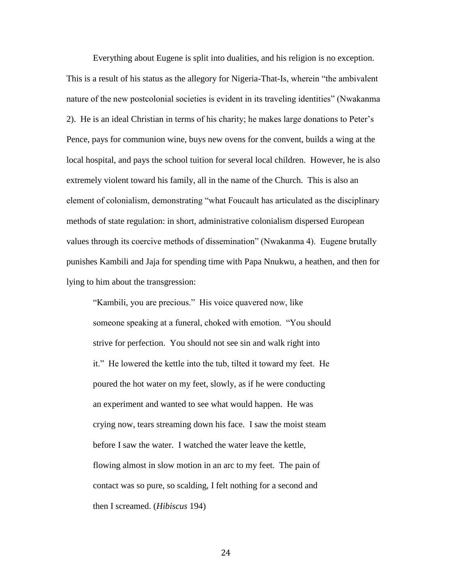Everything about Eugene is split into dualities, and his religion is no exception. This is a result of his status as the allegory for Nigeria-That-Is, wherein "the ambivalent nature of the new postcolonial societies is evident in its traveling identities" (Nwakanma 2). He is an ideal Christian in terms of his charity; he makes large donations to Peter"s Pence, pays for communion wine, buys new ovens for the convent, builds a wing at the local hospital, and pays the school tuition for several local children. However, he is also extremely violent toward his family, all in the name of the Church. This is also an element of colonialism, demonstrating "what Foucault has articulated as the disciplinary methods of state regulation: in short, administrative colonialism dispersed European values through its coercive methods of dissemination" (Nwakanma 4). Eugene brutally punishes Kambili and Jaja for spending time with Papa Nnukwu, a heathen, and then for lying to him about the transgression:

"Kambili, you are precious." His voice quavered now, like someone speaking at a funeral, choked with emotion. "You should strive for perfection. You should not see sin and walk right into it." He lowered the kettle into the tub, tilted it toward my feet. He poured the hot water on my feet, slowly, as if he were conducting an experiment and wanted to see what would happen. He was crying now, tears streaming down his face. I saw the moist steam before I saw the water. I watched the water leave the kettle, flowing almost in slow motion in an arc to my feet. The pain of contact was so pure, so scalding, I felt nothing for a second and then I screamed. (*Hibiscus* 194)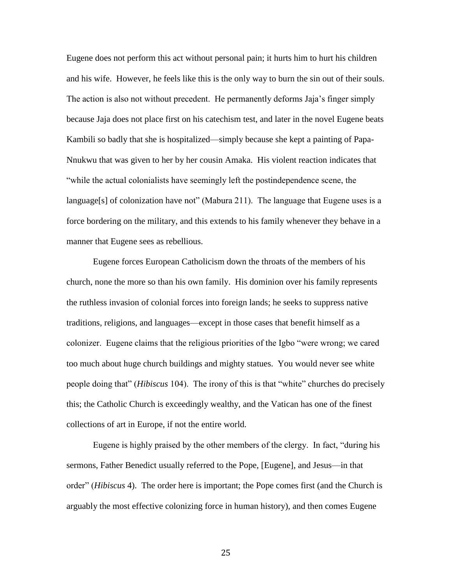Eugene does not perform this act without personal pain; it hurts him to hurt his children and his wife. However, he feels like this is the only way to burn the sin out of their souls. The action is also not without precedent. He permanently deforms Jaja"s finger simply because Jaja does not place first on his catechism test, and later in the novel Eugene beats Kambili so badly that she is hospitalized—simply because she kept a painting of Papa-Nnukwu that was given to her by her cousin Amaka. His violent reaction indicates that "while the actual colonialists have seemingly left the postindependence scene, the language[s] of colonization have not" (Mabura 211). The language that Eugene uses is a force bordering on the military, and this extends to his family whenever they behave in a manner that Eugene sees as rebellious.

Eugene forces European Catholicism down the throats of the members of his church, none the more so than his own family. His dominion over his family represents the ruthless invasion of colonial forces into foreign lands; he seeks to suppress native traditions, religions, and languages—except in those cases that benefit himself as a colonizer. Eugene claims that the religious priorities of the Igbo "were wrong; we cared too much about huge church buildings and mighty statues. You would never see white people doing that" (*Hibiscus* 104). The irony of this is that "white" churches do precisely this; the Catholic Church is exceedingly wealthy, and the Vatican has one of the finest collections of art in Europe, if not the entire world.

Eugene is highly praised by the other members of the clergy. In fact, "during his sermons, Father Benedict usually referred to the Pope, [Eugene], and Jesus—in that order" (*Hibiscus* 4). The order here is important; the Pope comes first (and the Church is arguably the most effective colonizing force in human history), and then comes Eugene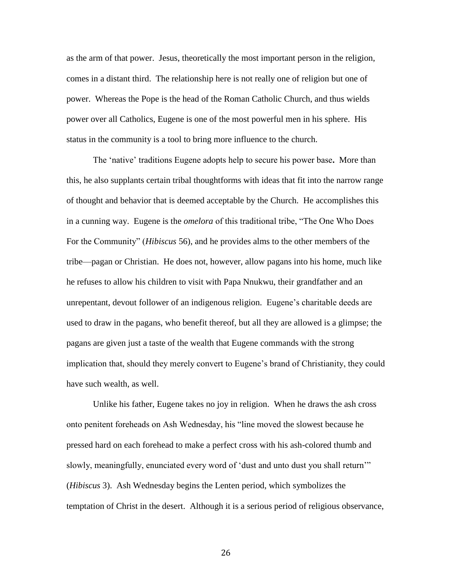as the arm of that power. Jesus, theoretically the most important person in the religion, comes in a distant third. The relationship here is not really one of religion but one of power. Whereas the Pope is the head of the Roman Catholic Church, and thus wields power over all Catholics, Eugene is one of the most powerful men in his sphere. His status in the community is a tool to bring more influence to the church.

The "native" traditions Eugene adopts help to secure his power base**.** More than this, he also supplants certain tribal thoughtforms with ideas that fit into the narrow range of thought and behavior that is deemed acceptable by the Church. He accomplishes this in a cunning way. Eugene is the *omelora* of this traditional tribe, "The One Who Does For the Community" (*Hibiscus* 56), and he provides alms to the other members of the tribe—pagan or Christian. He does not, however, allow pagans into his home, much like he refuses to allow his children to visit with Papa Nnukwu, their grandfather and an unrepentant, devout follower of an indigenous religion. Eugene"s charitable deeds are used to draw in the pagans, who benefit thereof, but all they are allowed is a glimpse; the pagans are given just a taste of the wealth that Eugene commands with the strong implication that, should they merely convert to Eugene"s brand of Christianity, they could have such wealth, as well.

Unlike his father, Eugene takes no joy in religion. When he draws the ash cross onto penitent foreheads on Ash Wednesday, his "line moved the slowest because he pressed hard on each forehead to make a perfect cross with his ash-colored thumb and slowly, meaningfully, enunciated every word of "dust and unto dust you shall return"" (*Hibiscus* 3). Ash Wednesday begins the Lenten period, which symbolizes the temptation of Christ in the desert. Although it is a serious period of religious observance,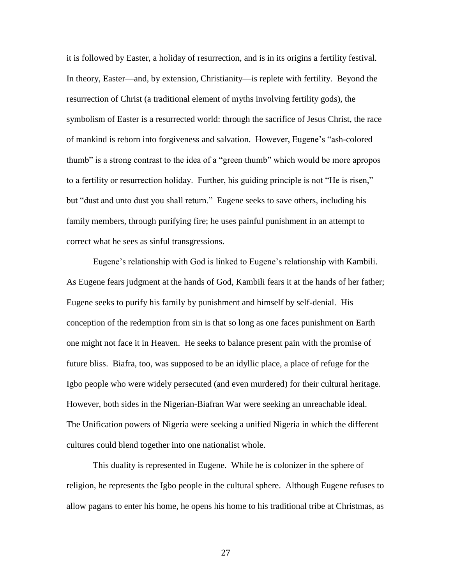it is followed by Easter, a holiday of resurrection, and is in its origins a fertility festival. In theory, Easter—and, by extension, Christianity—is replete with fertility. Beyond the resurrection of Christ (a traditional element of myths involving fertility gods), the symbolism of Easter is a resurrected world: through the sacrifice of Jesus Christ, the race of mankind is reborn into forgiveness and salvation. However, Eugene"s "ash-colored thumb" is a strong contrast to the idea of a "green thumb" which would be more apropos to a fertility or resurrection holiday. Further, his guiding principle is not "He is risen," but "dust and unto dust you shall return." Eugene seeks to save others, including his family members, through purifying fire; he uses painful punishment in an attempt to correct what he sees as sinful transgressions.

Eugene's relationship with God is linked to Eugene's relationship with Kambili. As Eugene fears judgment at the hands of God, Kambili fears it at the hands of her father; Eugene seeks to purify his family by punishment and himself by self-denial. His conception of the redemption from sin is that so long as one faces punishment on Earth one might not face it in Heaven. He seeks to balance present pain with the promise of future bliss. Biafra, too, was supposed to be an idyllic place, a place of refuge for the Igbo people who were widely persecuted (and even murdered) for their cultural heritage. However, both sides in the Nigerian-Biafran War were seeking an unreachable ideal. The Unification powers of Nigeria were seeking a unified Nigeria in which the different cultures could blend together into one nationalist whole.

This duality is represented in Eugene. While he is colonizer in the sphere of religion, he represents the Igbo people in the cultural sphere. Although Eugene refuses to allow pagans to enter his home, he opens his home to his traditional tribe at Christmas, as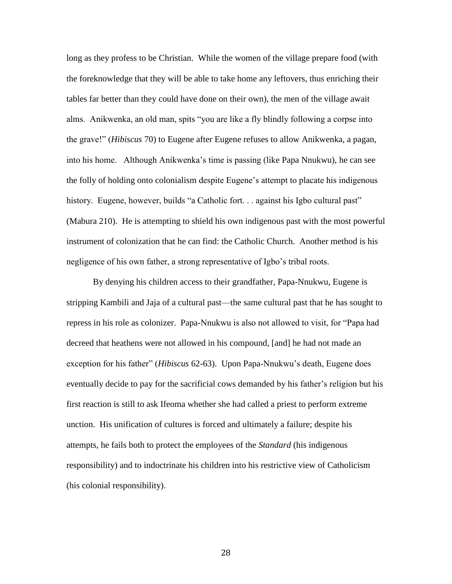long as they profess to be Christian. While the women of the village prepare food (with the foreknowledge that they will be able to take home any leftovers, thus enriching their tables far better than they could have done on their own), the men of the village await alms. Anikwenka, an old man, spits "you are like a fly blindly following a corpse into the grave!" (*Hibiscus* 70) to Eugene after Eugene refuses to allow Anikwenka, a pagan, into his home. Although Anikwenka"s time is passing (like Papa Nnukwu), he can see the folly of holding onto colonialism despite Eugene"s attempt to placate his indigenous history. Eugene, however, builds "a Catholic fort... against his Igbo cultural past" (Mabura 210). He is attempting to shield his own indigenous past with the most powerful instrument of colonization that he can find: the Catholic Church. Another method is his negligence of his own father, a strong representative of Igbo's tribal roots.

By denying his children access to their grandfather, Papa-Nnukwu, Eugene is stripping Kambili and Jaja of a cultural past—the same cultural past that he has sought to repress in his role as colonizer. Papa-Nnukwu is also not allowed to visit, for "Papa had decreed that heathens were not allowed in his compound, [and] he had not made an exception for his father" (*Hibiscus* 62-63). Upon Papa-Nnukwu"s death, Eugene does eventually decide to pay for the sacrificial cows demanded by his father's religion but his first reaction is still to ask Ifeoma whether she had called a priest to perform extreme unction. His unification of cultures is forced and ultimately a failure; despite his attempts, he fails both to protect the employees of the *Standard* (his indigenous responsibility) and to indoctrinate his children into his restrictive view of Catholicism (his colonial responsibility).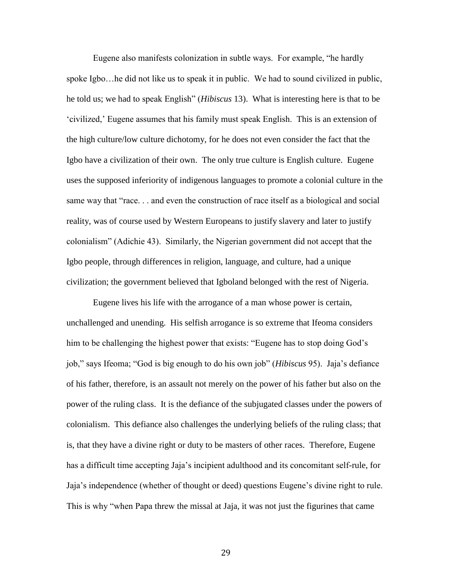Eugene also manifests colonization in subtle ways. For example, "he hardly spoke Igbo…he did not like us to speak it in public. We had to sound civilized in public, he told us; we had to speak English" (*Hibiscus* 13). What is interesting here is that to be "civilized," Eugene assumes that his family must speak English. This is an extension of the high culture/low culture dichotomy, for he does not even consider the fact that the Igbo have a civilization of their own. The only true culture is English culture. Eugene uses the supposed inferiority of indigenous languages to promote a colonial culture in the same way that "race. . . and even the construction of race itself as a biological and social reality, was of course used by Western Europeans to justify slavery and later to justify colonialism" (Adichie 43). Similarly, the Nigerian government did not accept that the Igbo people, through differences in religion, language, and culture, had a unique civilization; the government believed that Igboland belonged with the rest of Nigeria.

Eugene lives his life with the arrogance of a man whose power is certain, unchallenged and unending. His selfish arrogance is so extreme that Ifeoma considers him to be challenging the highest power that exists: "Eugene has to stop doing God's job," says Ifeoma; "God is big enough to do his own job" (*Hibiscus* 95). Jaja"s defiance of his father, therefore, is an assault not merely on the power of his father but also on the power of the ruling class. It is the defiance of the subjugated classes under the powers of colonialism. This defiance also challenges the underlying beliefs of the ruling class; that is, that they have a divine right or duty to be masters of other races. Therefore, Eugene has a difficult time accepting Jaja"s incipient adulthood and its concomitant self-rule, for Jaja"s independence (whether of thought or deed) questions Eugene"s divine right to rule. This is why "when Papa threw the missal at Jaja, it was not just the figurines that came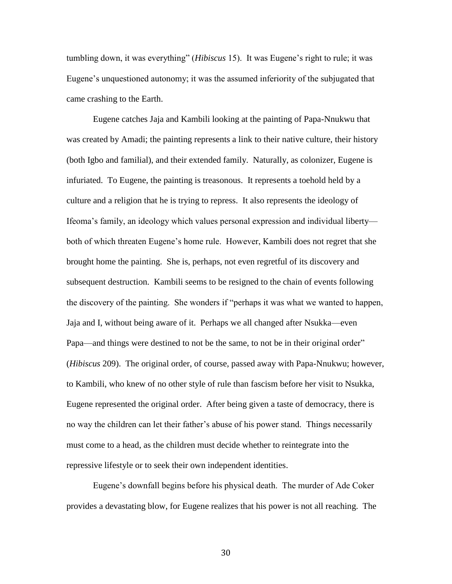tumbling down, it was everything" (*Hibiscus* 15). It was Eugene"s right to rule; it was Eugene"s unquestioned autonomy; it was the assumed inferiority of the subjugated that came crashing to the Earth.

Eugene catches Jaja and Kambili looking at the painting of Papa-Nnukwu that was created by Amadi; the painting represents a link to their native culture, their history (both Igbo and familial), and their extended family. Naturally, as colonizer, Eugene is infuriated. To Eugene, the painting is treasonous. It represents a toehold held by a culture and a religion that he is trying to repress. It also represents the ideology of Ifeoma"s family, an ideology which values personal expression and individual liberty both of which threaten Eugene"s home rule. However, Kambili does not regret that she brought home the painting. She is, perhaps, not even regretful of its discovery and subsequent destruction. Kambili seems to be resigned to the chain of events following the discovery of the painting. She wonders if "perhaps it was what we wanted to happen, Jaja and I, without being aware of it. Perhaps we all changed after Nsukka—even Papa—and things were destined to not be the same, to not be in their original order" (*Hibiscus* 209). The original order, of course, passed away with Papa-Nnukwu; however, to Kambili, who knew of no other style of rule than fascism before her visit to Nsukka, Eugene represented the original order. After being given a taste of democracy, there is no way the children can let their father"s abuse of his power stand. Things necessarily must come to a head, as the children must decide whether to reintegrate into the repressive lifestyle or to seek their own independent identities.

Eugene"s downfall begins before his physical death. The murder of Ade Coker provides a devastating blow, for Eugene realizes that his power is not all reaching. The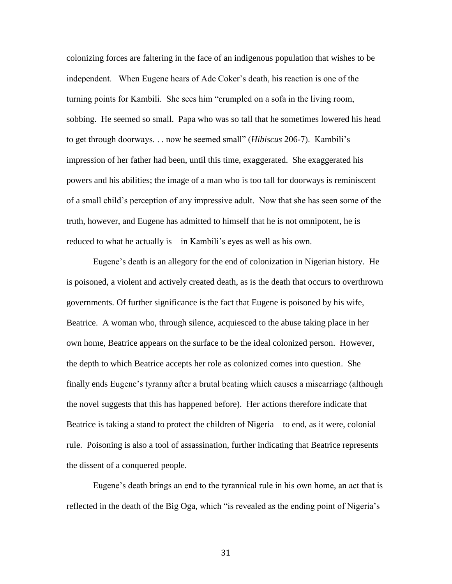colonizing forces are faltering in the face of an indigenous population that wishes to be independent. When Eugene hears of Ade Coker"s death, his reaction is one of the turning points for Kambili. She sees him "crumpled on a sofa in the living room, sobbing. He seemed so small. Papa who was so tall that he sometimes lowered his head to get through doorways. . . now he seemed small" (*Hibiscus* 206-7). Kambili"s impression of her father had been, until this time, exaggerated. She exaggerated his powers and his abilities; the image of a man who is too tall for doorways is reminiscent of a small child"s perception of any impressive adult. Now that she has seen some of the truth, however, and Eugene has admitted to himself that he is not omnipotent, he is reduced to what he actually is—in Kambili's eyes as well as his own.

Eugene"s death is an allegory for the end of colonization in Nigerian history. He is poisoned, a violent and actively created death, as is the death that occurs to overthrown governments. Of further significance is the fact that Eugene is poisoned by his wife, Beatrice. A woman who, through silence, acquiesced to the abuse taking place in her own home, Beatrice appears on the surface to be the ideal colonized person. However, the depth to which Beatrice accepts her role as colonized comes into question. She finally ends Eugene"s tyranny after a brutal beating which causes a miscarriage (although the novel suggests that this has happened before). Her actions therefore indicate that Beatrice is taking a stand to protect the children of Nigeria—to end, as it were, colonial rule. Poisoning is also a tool of assassination, further indicating that Beatrice represents the dissent of a conquered people.

Eugene's death brings an end to the tyrannical rule in his own home, an act that is reflected in the death of the Big Oga, which "is revealed as the ending point of Nigeria"s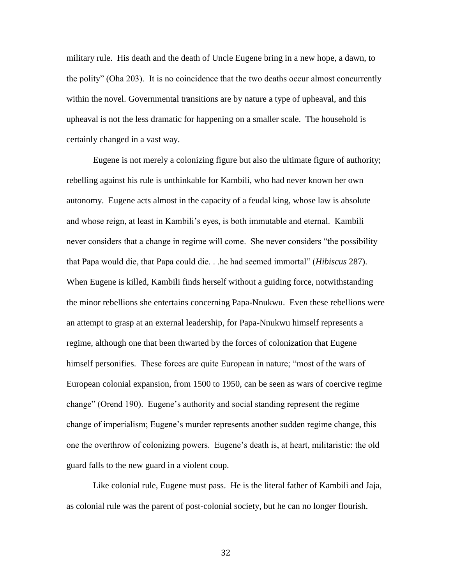military rule. His death and the death of Uncle Eugene bring in a new hope, a dawn, to the polity" (Oha 203). It is no coincidence that the two deaths occur almost concurrently within the novel. Governmental transitions are by nature a type of upheaval, and this upheaval is not the less dramatic for happening on a smaller scale. The household is certainly changed in a vast way.

Eugene is not merely a colonizing figure but also the ultimate figure of authority; rebelling against his rule is unthinkable for Kambili, who had never known her own autonomy. Eugene acts almost in the capacity of a feudal king, whose law is absolute and whose reign, at least in Kambili"s eyes, is both immutable and eternal. Kambili never considers that a change in regime will come. She never considers "the possibility that Papa would die, that Papa could die. . .he had seemed immortal" (*Hibiscus* 287). When Eugene is killed, Kambili finds herself without a guiding force, notwithstanding the minor rebellions she entertains concerning Papa-Nnukwu. Even these rebellions were an attempt to grasp at an external leadership, for Papa-Nnukwu himself represents a regime, although one that been thwarted by the forces of colonization that Eugene himself personifies. These forces are quite European in nature; "most of the wars of European colonial expansion, from 1500 to 1950, can be seen as wars of coercive regime change" (Orend 190). Eugene's authority and social standing represent the regime change of imperialism; Eugene"s murder represents another sudden regime change, this one the overthrow of colonizing powers. Eugene"s death is, at heart, militaristic: the old guard falls to the new guard in a violent coup.

Like colonial rule, Eugene must pass. He is the literal father of Kambili and Jaja, as colonial rule was the parent of post-colonial society, but he can no longer flourish.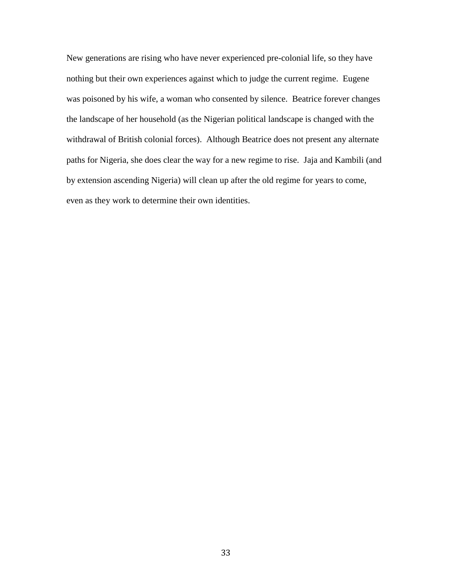New generations are rising who have never experienced pre-colonial life, so they have nothing but their own experiences against which to judge the current regime. Eugene was poisoned by his wife, a woman who consented by silence. Beatrice forever changes the landscape of her household (as the Nigerian political landscape is changed with the withdrawal of British colonial forces). Although Beatrice does not present any alternate paths for Nigeria, she does clear the way for a new regime to rise. Jaja and Kambili (and by extension ascending Nigeria) will clean up after the old regime for years to come, even as they work to determine their own identities.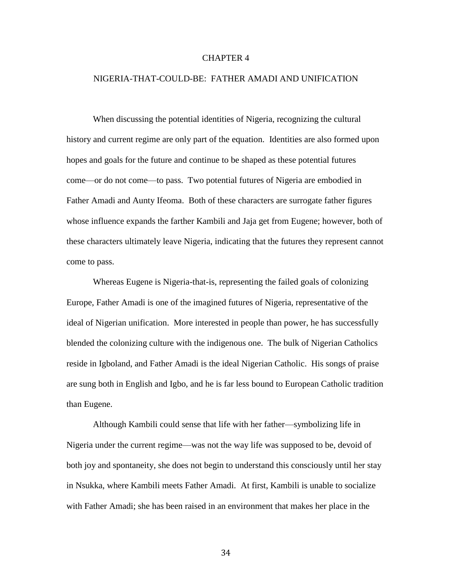#### CHAPTER 4

#### NIGERIA-THAT-COULD-BE: FATHER AMADI AND UNIFICATION

When discussing the potential identities of Nigeria, recognizing the cultural history and current regime are only part of the equation. Identities are also formed upon hopes and goals for the future and continue to be shaped as these potential futures come—or do not come—to pass. Two potential futures of Nigeria are embodied in Father Amadi and Aunty Ifeoma. Both of these characters are surrogate father figures whose influence expands the farther Kambili and Jaja get from Eugene; however, both of these characters ultimately leave Nigeria, indicating that the futures they represent cannot come to pass.

Whereas Eugene is Nigeria-that-is, representing the failed goals of colonizing Europe, Father Amadi is one of the imagined futures of Nigeria, representative of the ideal of Nigerian unification. More interested in people than power, he has successfully blended the colonizing culture with the indigenous one. The bulk of Nigerian Catholics reside in Igboland, and Father Amadi is the ideal Nigerian Catholic. His songs of praise are sung both in English and Igbo, and he is far less bound to European Catholic tradition than Eugene.

Although Kambili could sense that life with her father—symbolizing life in Nigeria under the current regime—was not the way life was supposed to be, devoid of both joy and spontaneity, she does not begin to understand this consciously until her stay in Nsukka, where Kambili meets Father Amadi. At first, Kambili is unable to socialize with Father Amadi; she has been raised in an environment that makes her place in the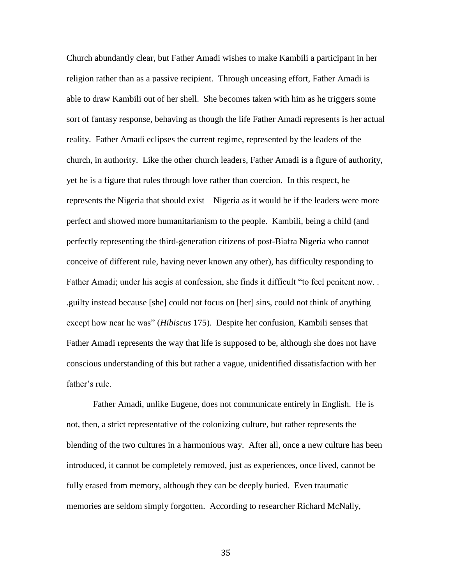Church abundantly clear, but Father Amadi wishes to make Kambili a participant in her religion rather than as a passive recipient. Through unceasing effort, Father Amadi is able to draw Kambili out of her shell. She becomes taken with him as he triggers some sort of fantasy response, behaving as though the life Father Amadi represents is her actual reality. Father Amadi eclipses the current regime, represented by the leaders of the church, in authority. Like the other church leaders, Father Amadi is a figure of authority, yet he is a figure that rules through love rather than coercion. In this respect, he represents the Nigeria that should exist—Nigeria as it would be if the leaders were more perfect and showed more humanitarianism to the people. Kambili, being a child (and perfectly representing the third-generation citizens of post-Biafra Nigeria who cannot conceive of different rule, having never known any other), has difficulty responding to Father Amadi; under his aegis at confession, she finds it difficult "to feel penitent now. . .guilty instead because [she] could not focus on [her] sins, could not think of anything except how near he was" (*Hibiscus* 175). Despite her confusion, Kambili senses that Father Amadi represents the way that life is supposed to be, although she does not have conscious understanding of this but rather a vague, unidentified dissatisfaction with her father's rule.

Father Amadi, unlike Eugene, does not communicate entirely in English. He is not, then, a strict representative of the colonizing culture, but rather represents the blending of the two cultures in a harmonious way. After all, once a new culture has been introduced, it cannot be completely removed, just as experiences, once lived, cannot be fully erased from memory, although they can be deeply buried. Even traumatic memories are seldom simply forgotten. According to researcher Richard McNally,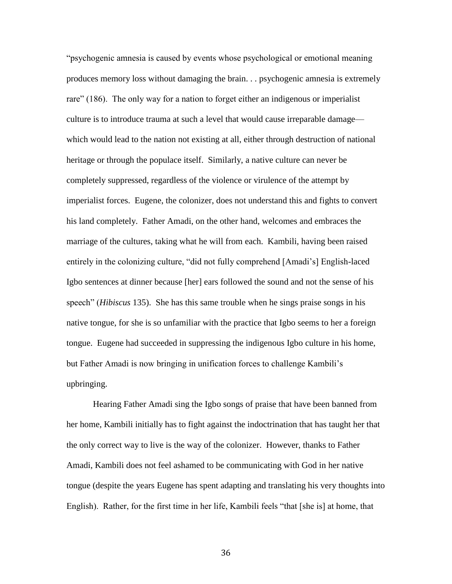"psychogenic amnesia is caused by events whose psychological or emotional meaning produces memory loss without damaging the brain. . . psychogenic amnesia is extremely rare" (186). The only way for a nation to forget either an indigenous or imperialist culture is to introduce trauma at such a level that would cause irreparable damage which would lead to the nation not existing at all, either through destruction of national heritage or through the populace itself. Similarly, a native culture can never be completely suppressed, regardless of the violence or virulence of the attempt by imperialist forces. Eugene, the colonizer, does not understand this and fights to convert his land completely. Father Amadi, on the other hand, welcomes and embraces the marriage of the cultures, taking what he will from each. Kambili, having been raised entirely in the colonizing culture, "did not fully comprehend [Amadi"s] English-laced Igbo sentences at dinner because [her] ears followed the sound and not the sense of his speech" (*Hibiscus* 135). She has this same trouble when he sings praise songs in his native tongue, for she is so unfamiliar with the practice that Igbo seems to her a foreign tongue. Eugene had succeeded in suppressing the indigenous Igbo culture in his home, but Father Amadi is now bringing in unification forces to challenge Kambili"s upbringing.

Hearing Father Amadi sing the Igbo songs of praise that have been banned from her home, Kambili initially has to fight against the indoctrination that has taught her that the only correct way to live is the way of the colonizer. However, thanks to Father Amadi, Kambili does not feel ashamed to be communicating with God in her native tongue (despite the years Eugene has spent adapting and translating his very thoughts into English). Rather, for the first time in her life, Kambili feels "that [she is] at home, that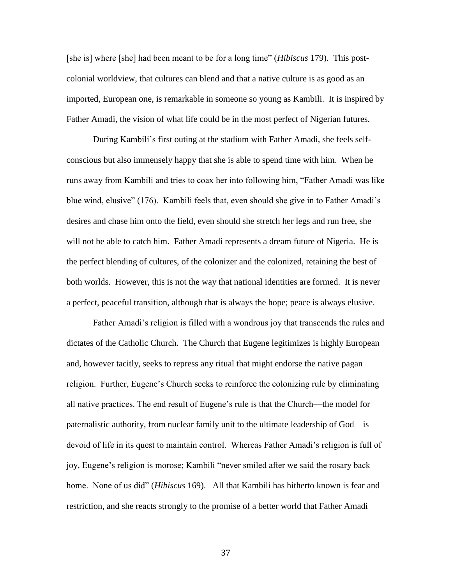[she is] where [she] had been meant to be for a long time" (*Hibiscus* 179). This postcolonial worldview, that cultures can blend and that a native culture is as good as an imported, European one, is remarkable in someone so young as Kambili. It is inspired by Father Amadi, the vision of what life could be in the most perfect of Nigerian futures.

During Kambili's first outing at the stadium with Father Amadi, she feels selfconscious but also immensely happy that she is able to spend time with him. When he runs away from Kambili and tries to coax her into following him, "Father Amadi was like blue wind, elusive" (176). Kambili feels that, even should she give in to Father Amadi"s desires and chase him onto the field, even should she stretch her legs and run free, she will not be able to catch him. Father Amadi represents a dream future of Nigeria. He is the perfect blending of cultures, of the colonizer and the colonized, retaining the best of both worlds. However, this is not the way that national identities are formed. It is never a perfect, peaceful transition, although that is always the hope; peace is always elusive.

Father Amadi"s religion is filled with a wondrous joy that transcends the rules and dictates of the Catholic Church. The Church that Eugene legitimizes is highly European and, however tacitly, seeks to repress any ritual that might endorse the native pagan religion. Further, Eugene"s Church seeks to reinforce the colonizing rule by eliminating all native practices. The end result of Eugene"s rule is that the Church—the model for paternalistic authority, from nuclear family unit to the ultimate leadership of God—is devoid of life in its quest to maintain control. Whereas Father Amadi"s religion is full of joy, Eugene's religion is morose; Kambili "never smiled after we said the rosary back home. None of us did" (*Hibiscus* 169). All that Kambili has hitherto known is fear and restriction, and she reacts strongly to the promise of a better world that Father Amadi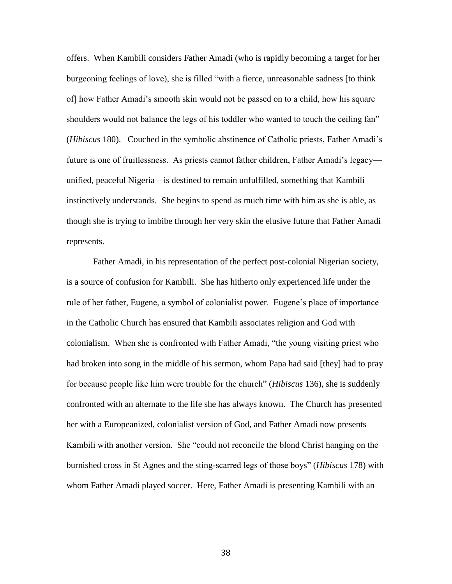offers. When Kambili considers Father Amadi (who is rapidly becoming a target for her burgeoning feelings of love), she is filled "with a fierce, unreasonable sadness [to think of] how Father Amadi"s smooth skin would not be passed on to a child, how his square shoulders would not balance the legs of his toddler who wanted to touch the ceiling fan" (*Hibiscus* 180). Couched in the symbolic abstinence of Catholic priests, Father Amadi"s future is one of fruitlessness. As priests cannot father children, Father Amadi's legacy unified, peaceful Nigeria—is destined to remain unfulfilled, something that Kambili instinctively understands. She begins to spend as much time with him as she is able, as though she is trying to imbibe through her very skin the elusive future that Father Amadi represents.

Father Amadi, in his representation of the perfect post-colonial Nigerian society, is a source of confusion for Kambili. She has hitherto only experienced life under the rule of her father, Eugene, a symbol of colonialist power. Eugene"s place of importance in the Catholic Church has ensured that Kambili associates religion and God with colonialism. When she is confronted with Father Amadi, "the young visiting priest who had broken into song in the middle of his sermon, whom Papa had said [they] had to pray for because people like him were trouble for the church" (*Hibiscus* 136), she is suddenly confronted with an alternate to the life she has always known. The Church has presented her with a Europeanized, colonialist version of God, and Father Amadi now presents Kambili with another version. She "could not reconcile the blond Christ hanging on the burnished cross in St Agnes and the sting-scarred legs of those boys" (*Hibiscus* 178) with whom Father Amadi played soccer. Here, Father Amadi is presenting Kambili with an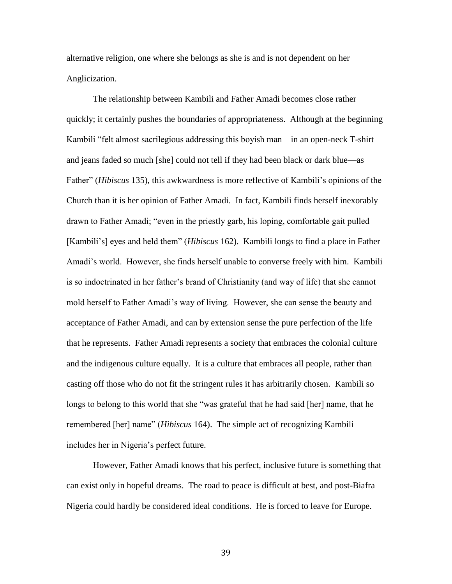alternative religion, one where she belongs as she is and is not dependent on her Anglicization.

The relationship between Kambili and Father Amadi becomes close rather quickly; it certainly pushes the boundaries of appropriateness. Although at the beginning Kambili "felt almost sacrilegious addressing this boyish man—in an open-neck T-shirt and jeans faded so much [she] could not tell if they had been black or dark blue—as Father" (*Hibiscus* 135), this awkwardness is more reflective of Kambili's opinions of the Church than it is her opinion of Father Amadi. In fact, Kambili finds herself inexorably drawn to Father Amadi; "even in the priestly garb, his loping, comfortable gait pulled [Kambili"s] eyes and held them" (*Hibiscus* 162). Kambili longs to find a place in Father Amadi"s world. However, she finds herself unable to converse freely with him. Kambili is so indoctrinated in her father"s brand of Christianity (and way of life) that she cannot mold herself to Father Amadi"s way of living. However, she can sense the beauty and acceptance of Father Amadi, and can by extension sense the pure perfection of the life that he represents. Father Amadi represents a society that embraces the colonial culture and the indigenous culture equally. It is a culture that embraces all people, rather than casting off those who do not fit the stringent rules it has arbitrarily chosen. Kambili so longs to belong to this world that she "was grateful that he had said [her] name, that he remembered [her] name" (*Hibiscus* 164). The simple act of recognizing Kambili includes her in Nigeria's perfect future.

However, Father Amadi knows that his perfect, inclusive future is something that can exist only in hopeful dreams. The road to peace is difficult at best, and post-Biafra Nigeria could hardly be considered ideal conditions. He is forced to leave for Europe.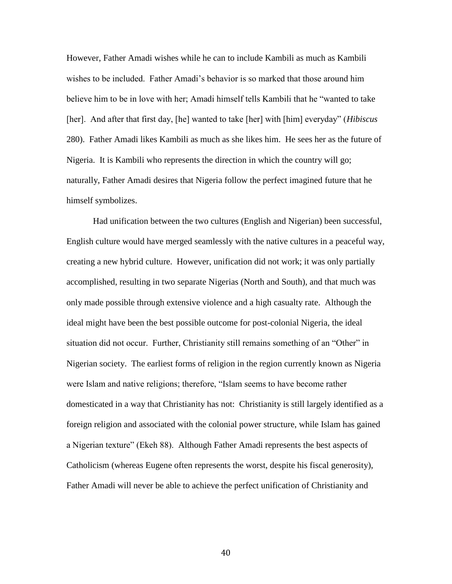However, Father Amadi wishes while he can to include Kambili as much as Kambili wishes to be included. Father Amadi"s behavior is so marked that those around him believe him to be in love with her; Amadi himself tells Kambili that he "wanted to take [her]. And after that first day, [he] wanted to take [her] with [him] everyday" (*Hibiscus*  280). Father Amadi likes Kambili as much as she likes him. He sees her as the future of Nigeria. It is Kambili who represents the direction in which the country will go; naturally, Father Amadi desires that Nigeria follow the perfect imagined future that he himself symbolizes.

Had unification between the two cultures (English and Nigerian) been successful, English culture would have merged seamlessly with the native cultures in a peaceful way, creating a new hybrid culture. However, unification did not work; it was only partially accomplished, resulting in two separate Nigerias (North and South), and that much was only made possible through extensive violence and a high casualty rate. Although the ideal might have been the best possible outcome for post-colonial Nigeria, the ideal situation did not occur. Further, Christianity still remains something of an "Other" in Nigerian society. The earliest forms of religion in the region currently known as Nigeria were Islam and native religions; therefore, "Islam seems to have become rather domesticated in a way that Christianity has not: Christianity is still largely identified as a foreign religion and associated with the colonial power structure, while Islam has gained a Nigerian texture" (Ekeh 88). Although Father Amadi represents the best aspects of Catholicism (whereas Eugene often represents the worst, despite his fiscal generosity), Father Amadi will never be able to achieve the perfect unification of Christianity and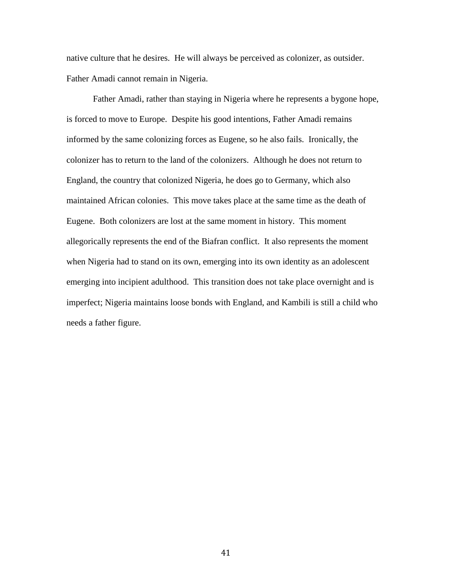native culture that he desires. He will always be perceived as colonizer, as outsider. Father Amadi cannot remain in Nigeria.

Father Amadi, rather than staying in Nigeria where he represents a bygone hope, is forced to move to Europe. Despite his good intentions, Father Amadi remains informed by the same colonizing forces as Eugene, so he also fails. Ironically, the colonizer has to return to the land of the colonizers. Although he does not return to England, the country that colonized Nigeria, he does go to Germany, which also maintained African colonies. This move takes place at the same time as the death of Eugene. Both colonizers are lost at the same moment in history. This moment allegorically represents the end of the Biafran conflict. It also represents the moment when Nigeria had to stand on its own, emerging into its own identity as an adolescent emerging into incipient adulthood. This transition does not take place overnight and is imperfect; Nigeria maintains loose bonds with England, and Kambili is still a child who needs a father figure.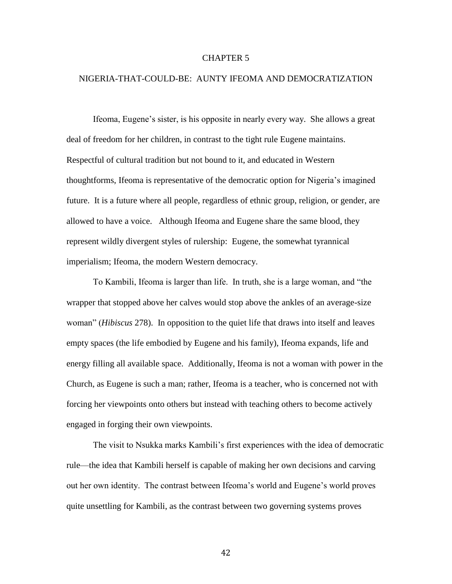#### CHAPTER 5

#### NIGERIA-THAT-COULD-BE: AUNTY IFEOMA AND DEMOCRATIZATION

Ifeoma, Eugene's sister, is his opposite in nearly every way. She allows a great deal of freedom for her children, in contrast to the tight rule Eugene maintains. Respectful of cultural tradition but not bound to it, and educated in Western thoughtforms, Ifeoma is representative of the democratic option for Nigeria"s imagined future. It is a future where all people, regardless of ethnic group, religion, or gender, are allowed to have a voice. Although Ifeoma and Eugene share the same blood, they represent wildly divergent styles of rulership: Eugene, the somewhat tyrannical imperialism; Ifeoma, the modern Western democracy.

To Kambili, Ifeoma is larger than life. In truth, she is a large woman, and "the wrapper that stopped above her calves would stop above the ankles of an average-size woman" (*Hibiscus* 278). In opposition to the quiet life that draws into itself and leaves empty spaces (the life embodied by Eugene and his family), Ifeoma expands, life and energy filling all available space. Additionally, Ifeoma is not a woman with power in the Church, as Eugene is such a man; rather, Ifeoma is a teacher, who is concerned not with forcing her viewpoints onto others but instead with teaching others to become actively engaged in forging their own viewpoints.

The visit to Nsukka marks Kambili's first experiences with the idea of democratic rule—the idea that Kambili herself is capable of making her own decisions and carving out her own identity. The contrast between Ifeoma"s world and Eugene"s world proves quite unsettling for Kambili, as the contrast between two governing systems proves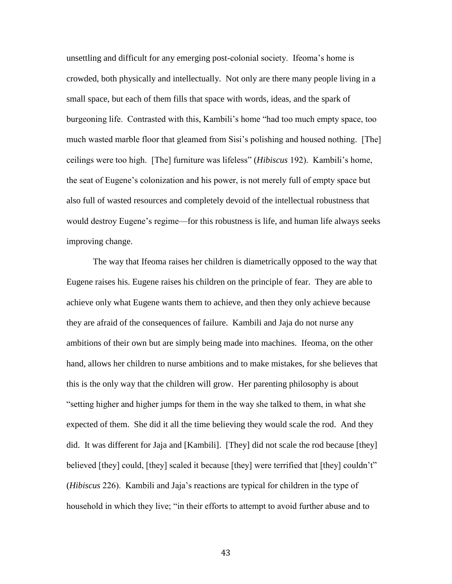unsettling and difficult for any emerging post-colonial society. Ifeoma"s home is crowded, both physically and intellectually. Not only are there many people living in a small space, but each of them fills that space with words, ideas, and the spark of burgeoning life. Contrasted with this, Kambili"s home "had too much empty space, too much wasted marble floor that gleamed from Sisi"s polishing and housed nothing. [The] ceilings were too high. [The] furniture was lifeless" (*Hibiscus* 192). Kambili"s home, the seat of Eugene"s colonization and his power, is not merely full of empty space but also full of wasted resources and completely devoid of the intellectual robustness that would destroy Eugene's regime—for this robustness is life, and human life always seeks improving change.

The way that Ifeoma raises her children is diametrically opposed to the way that Eugene raises his. Eugene raises his children on the principle of fear. They are able to achieve only what Eugene wants them to achieve, and then they only achieve because they are afraid of the consequences of failure. Kambili and Jaja do not nurse any ambitions of their own but are simply being made into machines. Ifeoma, on the other hand, allows her children to nurse ambitions and to make mistakes, for she believes that this is the only way that the children will grow. Her parenting philosophy is about "setting higher and higher jumps for them in the way she talked to them, in what she expected of them. She did it all the time believing they would scale the rod. And they did. It was different for Jaja and [Kambili]. [They] did not scale the rod because [they] believed [they] could, [they] scaled it because [they] were terrified that [they] couldn't" (*Hibiscus* 226). Kambili and Jaja"s reactions are typical for children in the type of household in which they live; "in their efforts to attempt to avoid further abuse and to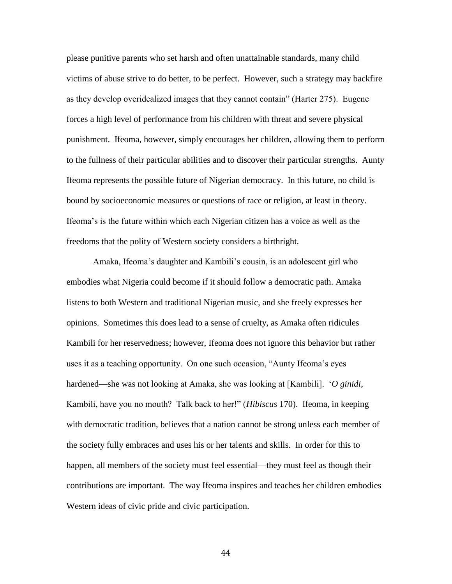please punitive parents who set harsh and often unattainable standards, many child victims of abuse strive to do better, to be perfect. However, such a strategy may backfire as they develop overidealized images that they cannot contain" (Harter 275). Eugene forces a high level of performance from his children with threat and severe physical punishment. Ifeoma, however, simply encourages her children, allowing them to perform to the fullness of their particular abilities and to discover their particular strengths. Aunty Ifeoma represents the possible future of Nigerian democracy. In this future, no child is bound by socioeconomic measures or questions of race or religion, at least in theory. Ifeoma"s is the future within which each Nigerian citizen has a voice as well as the freedoms that the polity of Western society considers a birthright.

Amaka, Ifeoma's daughter and Kambili's cousin, is an adolescent girl who embodies what Nigeria could become if it should follow a democratic path. Amaka listens to both Western and traditional Nigerian music, and she freely expresses her opinions. Sometimes this does lead to a sense of cruelty, as Amaka often ridicules Kambili for her reservedness; however, Ifeoma does not ignore this behavior but rather uses it as a teaching opportunity. On one such occasion, "Aunty Ifeoma"s eyes hardened—she was not looking at Amaka, she was looking at [Kambili]. "*O ginidi*, Kambili, have you no mouth? Talk back to her!" (*Hibiscus* 170). Ifeoma, in keeping with democratic tradition, believes that a nation cannot be strong unless each member of the society fully embraces and uses his or her talents and skills. In order for this to happen, all members of the society must feel essential—they must feel as though their contributions are important. The way Ifeoma inspires and teaches her children embodies Western ideas of civic pride and civic participation.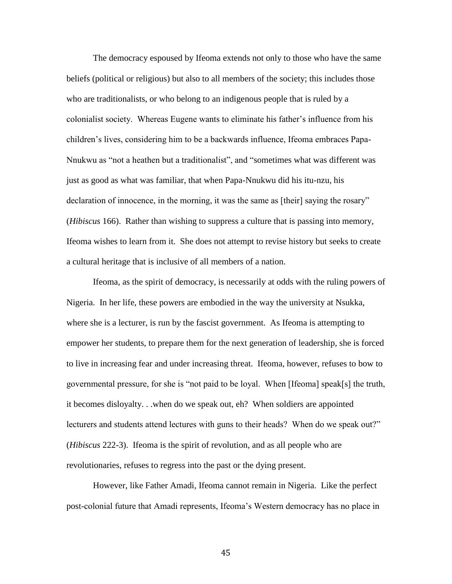The democracy espoused by Ifeoma extends not only to those who have the same beliefs (political or religious) but also to all members of the society; this includes those who are traditionalists, or who belong to an indigenous people that is ruled by a colonialist society. Whereas Eugene wants to eliminate his father"s influence from his children"s lives, considering him to be a backwards influence, Ifeoma embraces Papa-Nnukwu as "not a heathen but a traditionalist", and "sometimes what was different was just as good as what was familiar, that when Papa-Nnukwu did his itu-nzu, his declaration of innocence, in the morning, it was the same as [their] saying the rosary" (*Hibiscus* 166). Rather than wishing to suppress a culture that is passing into memory, Ifeoma wishes to learn from it. She does not attempt to revise history but seeks to create a cultural heritage that is inclusive of all members of a nation.

Ifeoma, as the spirit of democracy, is necessarily at odds with the ruling powers of Nigeria. In her life, these powers are embodied in the way the university at Nsukka, where she is a lecturer, is run by the fascist government. As Ifeoma is attempting to empower her students, to prepare them for the next generation of leadership, she is forced to live in increasing fear and under increasing threat. Ifeoma, however, refuses to bow to governmental pressure, for she is "not paid to be loyal. When [Ifeoma] speak[s] the truth, it becomes disloyalty. . .when do we speak out, eh? When soldiers are appointed lecturers and students attend lectures with guns to their heads? When do we speak out?" (*Hibiscus* 222-3). Ifeoma is the spirit of revolution, and as all people who are revolutionaries, refuses to regress into the past or the dying present.

However, like Father Amadi, Ifeoma cannot remain in Nigeria. Like the perfect post-colonial future that Amadi represents, Ifeoma"s Western democracy has no place in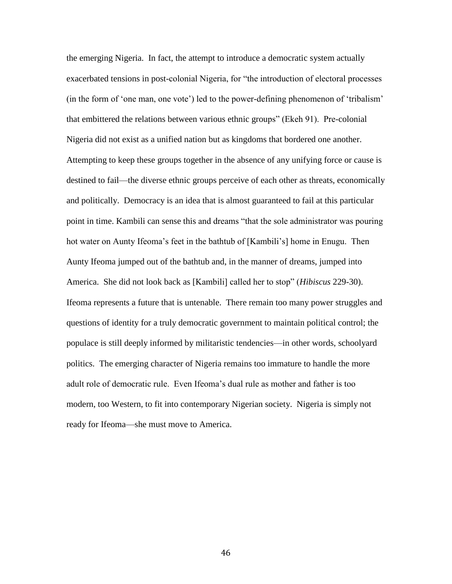the emerging Nigeria. In fact, the attempt to introduce a democratic system actually exacerbated tensions in post-colonial Nigeria, for "the introduction of electoral processes (in the form of "one man, one vote") led to the power-defining phenomenon of "tribalism" that embittered the relations between various ethnic groups" (Ekeh 91). Pre-colonial Nigeria did not exist as a unified nation but as kingdoms that bordered one another. Attempting to keep these groups together in the absence of any unifying force or cause is destined to fail—the diverse ethnic groups perceive of each other as threats, economically and politically. Democracy is an idea that is almost guaranteed to fail at this particular point in time. Kambili can sense this and dreams "that the sole administrator was pouring hot water on Aunty Ifeoma's feet in the bathtub of [Kambili's] home in Enugu. Then Aunty Ifeoma jumped out of the bathtub and, in the manner of dreams, jumped into America. She did not look back as [Kambili] called her to stop" (*Hibiscus* 229-30). Ifeoma represents a future that is untenable. There remain too many power struggles and questions of identity for a truly democratic government to maintain political control; the populace is still deeply informed by militaristic tendencies—in other words, schoolyard politics. The emerging character of Nigeria remains too immature to handle the more adult role of democratic rule. Even Ifeoma"s dual rule as mother and father is too modern, too Western, to fit into contemporary Nigerian society. Nigeria is simply not ready for Ifeoma—she must move to America.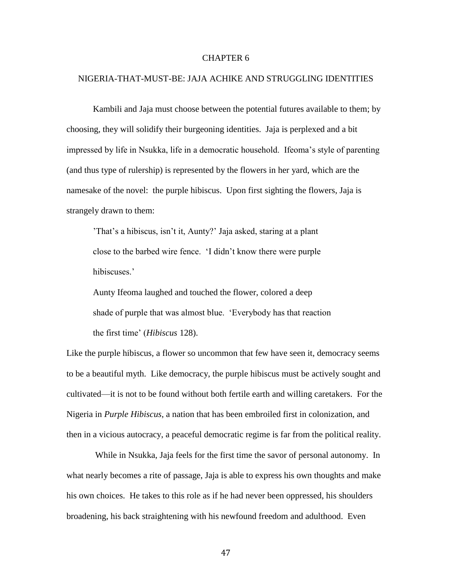#### CHAPTER 6

#### NIGERIA-THAT-MUST-BE: JAJA ACHIKE AND STRUGGLING IDENTITIES

Kambili and Jaja must choose between the potential futures available to them; by choosing, they will solidify their burgeoning identities. Jaja is perplexed and a bit impressed by life in Nsukka, life in a democratic household. Ifeoma"s style of parenting (and thus type of rulership) is represented by the flowers in her yard, which are the namesake of the novel: the purple hibiscus. Upon first sighting the flowers, Jaja is strangely drawn to them:

'That's a hibiscus, isn't it, Aunty?' Jaja asked, staring at a plant close to the barbed wire fence. "I didn"t know there were purple hibiscuses.'

Aunty Ifeoma laughed and touched the flower, colored a deep shade of purple that was almost blue. "Everybody has that reaction the first time" (*Hibiscus* 128).

Like the purple hibiscus, a flower so uncommon that few have seen it, democracy seems to be a beautiful myth. Like democracy, the purple hibiscus must be actively sought and cultivated—it is not to be found without both fertile earth and willing caretakers. For the Nigeria in *Purple Hibiscus*, a nation that has been embroiled first in colonization, and then in a vicious autocracy, a peaceful democratic regime is far from the political reality.

While in Nsukka, Jaja feels for the first time the savor of personal autonomy. In what nearly becomes a rite of passage, Jaja is able to express his own thoughts and make his own choices. He takes to this role as if he had never been oppressed, his shoulders broadening, his back straightening with his newfound freedom and adulthood. Even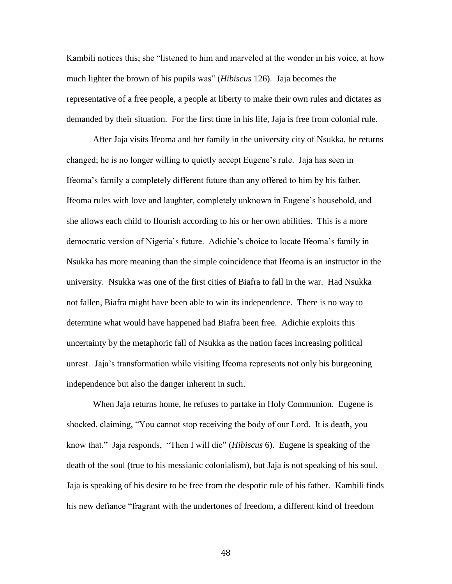Kambili notices this; she "listened to him and marveled at the wonder in his voice, at how much lighter the brown of his pupils was" (*Hibiscus* 126). Jaja becomes the representative of a free people, a people at liberty to make their own rules and dictates as demanded by their situation. For the first time in his life, Jaja is free from colonial rule.

After Jaja visits Ifeoma and her family in the university city of Nsukka, he returns changed; he is no longer willing to quietly accept Eugene"s rule. Jaja has seen in Ifeoma"s family a completely different future than any offered to him by his father. Ifeoma rules with love and laughter, completely unknown in Eugene"s household, and she allows each child to flourish according to his or her own abilities. This is a more democratic version of Nigeria"s future. Adichie"s choice to locate Ifeoma"s family in Nsukka has more meaning than the simple coincidence that Ifeoma is an instructor in the university. Nsukka was one of the first cities of Biafra to fall in the war. Had Nsukka not fallen, Biafra might have been able to win its independence. There is no way to determine what would have happened had Biafra been free. Adichie exploits this uncertainty by the metaphoric fall of Nsukka as the nation faces increasing political unrest. Jaja"s transformation while visiting Ifeoma represents not only his burgeoning independence but also the danger inherent in such.

When Jaja returns home, he refuses to partake in Holy Communion. Eugene is shocked, claiming, "You cannot stop receiving the body of our Lord. It is death, you know that." Jaja responds, "Then I will die" (*Hibiscus* 6). Eugene is speaking of the death of the soul (true to his messianic colonialism), but Jaja is not speaking of his soul. Jaja is speaking of his desire to be free from the despotic rule of his father. Kambili finds his new defiance "fragrant with the undertones of freedom, a different kind of freedom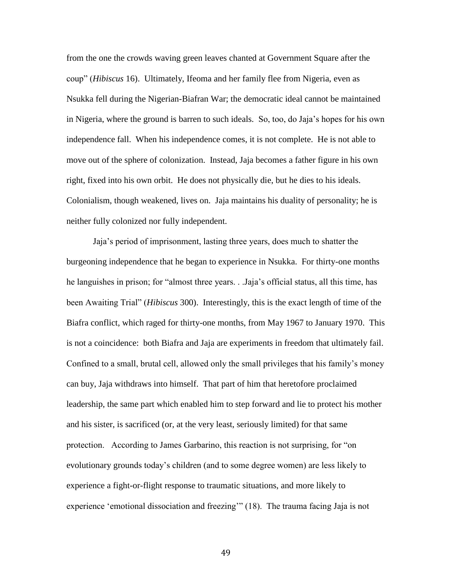from the one the crowds waving green leaves chanted at Government Square after the coup" (*Hibiscus* 16). Ultimately, Ifeoma and her family flee from Nigeria, even as Nsukka fell during the Nigerian-Biafran War; the democratic ideal cannot be maintained in Nigeria, where the ground is barren to such ideals. So, too, do Jaja"s hopes for his own independence fall. When his independence comes, it is not complete. He is not able to move out of the sphere of colonization. Instead, Jaja becomes a father figure in his own right, fixed into his own orbit. He does not physically die, but he dies to his ideals. Colonialism, though weakened, lives on. Jaja maintains his duality of personality; he is neither fully colonized nor fully independent.

Jaja"s period of imprisonment, lasting three years, does much to shatter the burgeoning independence that he began to experience in Nsukka. For thirty-one months he languishes in prison; for "almost three years. . .Jaja"s official status, all this time, has been Awaiting Trial" (*Hibiscus* 300). Interestingly, this is the exact length of time of the Biafra conflict, which raged for thirty-one months, from May 1967 to January 1970. This is not a coincidence: both Biafra and Jaja are experiments in freedom that ultimately fail. Confined to a small, brutal cell, allowed only the small privileges that his family"s money can buy, Jaja withdraws into himself. That part of him that heretofore proclaimed leadership, the same part which enabled him to step forward and lie to protect his mother and his sister, is sacrificed (or, at the very least, seriously limited) for that same protection. According to James Garbarino, this reaction is not surprising, for "on evolutionary grounds today"s children (and to some degree women) are less likely to experience a fight-or-flight response to traumatic situations, and more likely to experience 'emotional dissociation and freezing'" (18). The trauma facing Jaja is not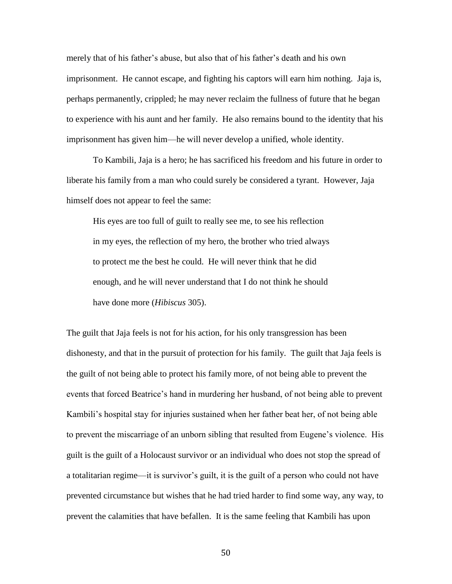merely that of his father"s abuse, but also that of his father"s death and his own imprisonment. He cannot escape, and fighting his captors will earn him nothing. Jaja is, perhaps permanently, crippled; he may never reclaim the fullness of future that he began to experience with his aunt and her family. He also remains bound to the identity that his imprisonment has given him—he will never develop a unified, whole identity.

To Kambili, Jaja is a hero; he has sacrificed his freedom and his future in order to liberate his family from a man who could surely be considered a tyrant. However, Jaja himself does not appear to feel the same:

His eyes are too full of guilt to really see me, to see his reflection in my eyes, the reflection of my hero, the brother who tried always to protect me the best he could. He will never think that he did enough, and he will never understand that I do not think he should have done more (*Hibiscus* 305).

The guilt that Jaja feels is not for his action, for his only transgression has been dishonesty, and that in the pursuit of protection for his family. The guilt that Jaja feels is the guilt of not being able to protect his family more, of not being able to prevent the events that forced Beatrice"s hand in murdering her husband, of not being able to prevent Kambili"s hospital stay for injuries sustained when her father beat her, of not being able to prevent the miscarriage of an unborn sibling that resulted from Eugene"s violence. His guilt is the guilt of a Holocaust survivor or an individual who does not stop the spread of a totalitarian regime—it is survivor's guilt, it is the guilt of a person who could not have prevented circumstance but wishes that he had tried harder to find some way, any way, to prevent the calamities that have befallen. It is the same feeling that Kambili has upon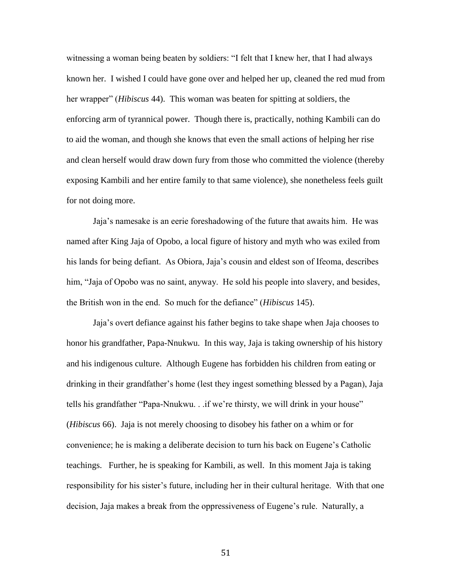witnessing a woman being beaten by soldiers: "I felt that I knew her, that I had always known her. I wished I could have gone over and helped her up, cleaned the red mud from her wrapper" (*Hibiscus* 44). This woman was beaten for spitting at soldiers, the enforcing arm of tyrannical power. Though there is, practically, nothing Kambili can do to aid the woman, and though she knows that even the small actions of helping her rise and clean herself would draw down fury from those who committed the violence (thereby exposing Kambili and her entire family to that same violence), she nonetheless feels guilt for not doing more.

Jaja"s namesake is an eerie foreshadowing of the future that awaits him. He was named after King Jaja of Opobo, a local figure of history and myth who was exiled from his lands for being defiant. As Obiora, Jaja"s cousin and eldest son of Ifeoma, describes him, "Jaja of Opobo was no saint, anyway. He sold his people into slavery, and besides, the British won in the end. So much for the defiance" (*Hibiscus* 145).

Jaja"s overt defiance against his father begins to take shape when Jaja chooses to honor his grandfather, Papa-Nnukwu. In this way, Jaja is taking ownership of his history and his indigenous culture. Although Eugene has forbidden his children from eating or drinking in their grandfather"s home (lest they ingest something blessed by a Pagan), Jaja tells his grandfather "Papa-Nnukwu... if we're thirsty, we will drink in your house" (*Hibiscus* 66). Jaja is not merely choosing to disobey his father on a whim or for convenience; he is making a deliberate decision to turn his back on Eugene"s Catholic teachings. Further, he is speaking for Kambili, as well. In this moment Jaja is taking responsibility for his sister"s future, including her in their cultural heritage. With that one decision, Jaja makes a break from the oppressiveness of Eugene"s rule. Naturally, a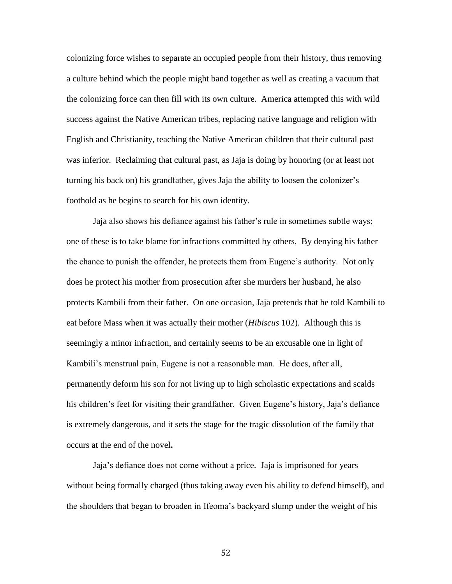colonizing force wishes to separate an occupied people from their history, thus removing a culture behind which the people might band together as well as creating a vacuum that the colonizing force can then fill with its own culture. America attempted this with wild success against the Native American tribes, replacing native language and religion with English and Christianity, teaching the Native American children that their cultural past was inferior. Reclaiming that cultural past, as Jaja is doing by honoring (or at least not turning his back on) his grandfather, gives Jaja the ability to loosen the colonizer"s foothold as he begins to search for his own identity.

Jaja also shows his defiance against his father"s rule in sometimes subtle ways; one of these is to take blame for infractions committed by others. By denying his father the chance to punish the offender, he protects them from Eugene"s authority. Not only does he protect his mother from prosecution after she murders her husband, he also protects Kambili from their father. On one occasion, Jaja pretends that he told Kambili to eat before Mass when it was actually their mother (*Hibiscus* 102). Although this is seemingly a minor infraction, and certainly seems to be an excusable one in light of Kambili's menstrual pain, Eugene is not a reasonable man. He does, after all, permanently deform his son for not living up to high scholastic expectations and scalds his children's feet for visiting their grandfather. Given Eugene's history, Jaja's defiance is extremely dangerous, and it sets the stage for the tragic dissolution of the family that occurs at the end of the novel**.**

Jaja"s defiance does not come without a price. Jaja is imprisoned for years without being formally charged (thus taking away even his ability to defend himself), and the shoulders that began to broaden in Ifeoma"s backyard slump under the weight of his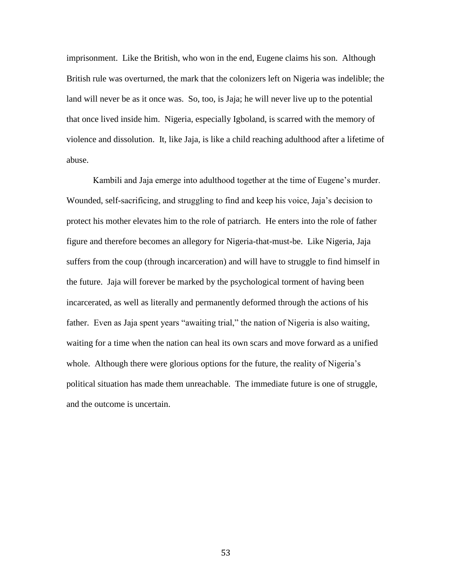imprisonment. Like the British, who won in the end, Eugene claims his son. Although British rule was overturned, the mark that the colonizers left on Nigeria was indelible; the land will never be as it once was. So, too, is Jaja; he will never live up to the potential that once lived inside him. Nigeria, especially Igboland, is scarred with the memory of violence and dissolution. It, like Jaja, is like a child reaching adulthood after a lifetime of abuse.

Kambili and Jaja emerge into adulthood together at the time of Eugene"s murder. Wounded, self-sacrificing, and struggling to find and keep his voice, Jaja"s decision to protect his mother elevates him to the role of patriarch. He enters into the role of father figure and therefore becomes an allegory for Nigeria-that-must-be. Like Nigeria, Jaja suffers from the coup (through incarceration) and will have to struggle to find himself in the future. Jaja will forever be marked by the psychological torment of having been incarcerated, as well as literally and permanently deformed through the actions of his father. Even as Jaja spent years "awaiting trial," the nation of Nigeria is also waiting, waiting for a time when the nation can heal its own scars and move forward as a unified whole. Although there were glorious options for the future, the reality of Nigeria's political situation has made them unreachable. The immediate future is one of struggle, and the outcome is uncertain.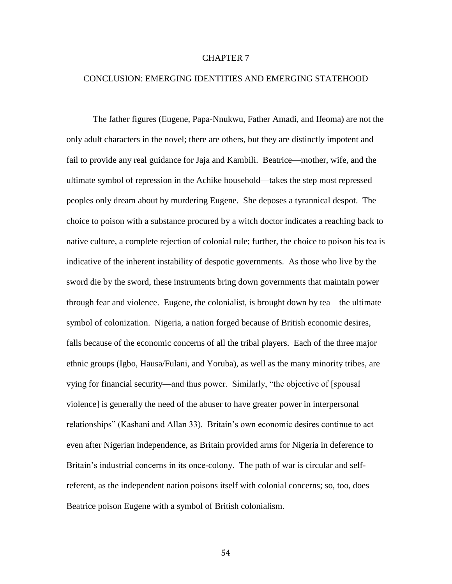#### CHAPTER 7

#### CONCLUSION: EMERGING IDENTITIES AND EMERGING STATEHOOD

The father figures (Eugene, Papa-Nnukwu, Father Amadi, and Ifeoma) are not the only adult characters in the novel; there are others, but they are distinctly impotent and fail to provide any real guidance for Jaja and Kambili. Beatrice—mother, wife, and the ultimate symbol of repression in the Achike household—takes the step most repressed peoples only dream about by murdering Eugene. She deposes a tyrannical despot. The choice to poison with a substance procured by a witch doctor indicates a reaching back to native culture, a complete rejection of colonial rule; further, the choice to poison his tea is indicative of the inherent instability of despotic governments. As those who live by the sword die by the sword, these instruments bring down governments that maintain power through fear and violence. Eugene, the colonialist, is brought down by tea—the ultimate symbol of colonization. Nigeria, a nation forged because of British economic desires, falls because of the economic concerns of all the tribal players. Each of the three major ethnic groups (Igbo, Hausa/Fulani, and Yoruba), as well as the many minority tribes, are vying for financial security—and thus power. Similarly, "the objective of [spousal violence] is generally the need of the abuser to have greater power in interpersonal relationships" (Kashani and Allan 33). Britain"s own economic desires continue to act even after Nigerian independence, as Britain provided arms for Nigeria in deference to Britain's industrial concerns in its once-colony. The path of war is circular and selfreferent, as the independent nation poisons itself with colonial concerns; so, too, does Beatrice poison Eugene with a symbol of British colonialism.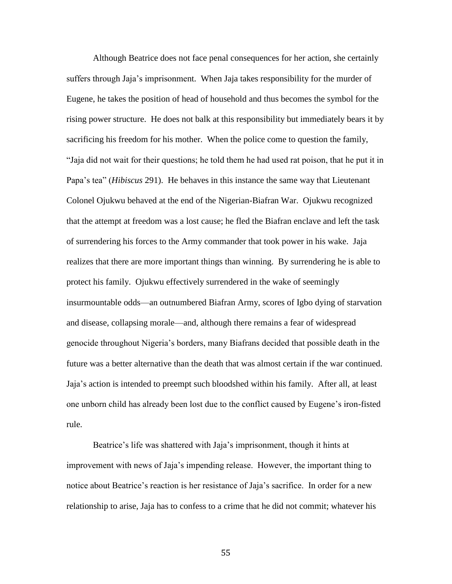Although Beatrice does not face penal consequences for her action, she certainly suffers through Jaja"s imprisonment. When Jaja takes responsibility for the murder of Eugene, he takes the position of head of household and thus becomes the symbol for the rising power structure. He does not balk at this responsibility but immediately bears it by sacrificing his freedom for his mother. When the police come to question the family, "Jaja did not wait for their questions; he told them he had used rat poison, that he put it in Papa"s tea" (*Hibiscus* 291). He behaves in this instance the same way that Lieutenant Colonel Ojukwu behaved at the end of the Nigerian-Biafran War. Ojukwu recognized that the attempt at freedom was a lost cause; he fled the Biafran enclave and left the task of surrendering his forces to the Army commander that took power in his wake. Jaja realizes that there are more important things than winning. By surrendering he is able to protect his family. Ojukwu effectively surrendered in the wake of seemingly insurmountable odds—an outnumbered Biafran Army, scores of Igbo dying of starvation and disease, collapsing morale—and, although there remains a fear of widespread genocide throughout Nigeria"s borders, many Biafrans decided that possible death in the future was a better alternative than the death that was almost certain if the war continued. Jaja"s action is intended to preempt such bloodshed within his family. After all, at least one unborn child has already been lost due to the conflict caused by Eugene"s iron-fisted rule.

Beatrice's life was shattered with Jaja's imprisonment, though it hints at improvement with news of Jaja"s impending release. However, the important thing to notice about Beatrice"s reaction is her resistance of Jaja"s sacrifice. In order for a new relationship to arise, Jaja has to confess to a crime that he did not commit; whatever his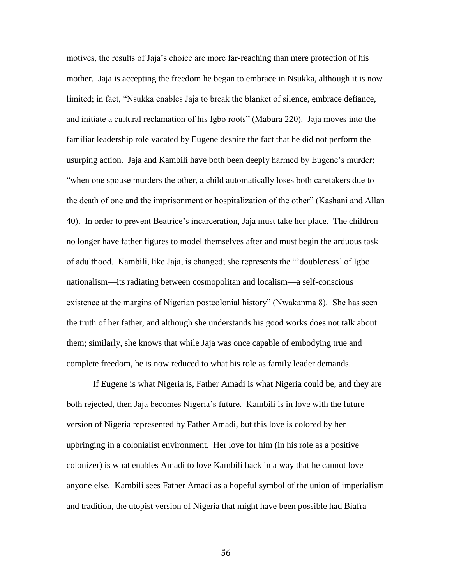motives, the results of Jaja"s choice are more far-reaching than mere protection of his mother. Jaja is accepting the freedom he began to embrace in Nsukka, although it is now limited; in fact, "Nsukka enables Jaja to break the blanket of silence, embrace defiance, and initiate a cultural reclamation of his Igbo roots" (Mabura 220). Jaja moves into the familiar leadership role vacated by Eugene despite the fact that he did not perform the usurping action. Jaja and Kambili have both been deeply harmed by Eugene"s murder; "when one spouse murders the other, a child automatically loses both caretakers due to the death of one and the imprisonment or hospitalization of the other" (Kashani and Allan 40). In order to prevent Beatrice"s incarceration, Jaja must take her place. The children no longer have father figures to model themselves after and must begin the arduous task of adulthood. Kambili, like Jaja, is changed; she represents the ""doubleness" of Igbo nationalism—its radiating between cosmopolitan and localism—a self-conscious existence at the margins of Nigerian postcolonial history" (Nwakanma 8). She has seen the truth of her father, and although she understands his good works does not talk about them; similarly, she knows that while Jaja was once capable of embodying true and complete freedom, he is now reduced to what his role as family leader demands.

If Eugene is what Nigeria is, Father Amadi is what Nigeria could be, and they are both rejected, then Jaja becomes Nigeria"s future. Kambili is in love with the future version of Nigeria represented by Father Amadi, but this love is colored by her upbringing in a colonialist environment. Her love for him (in his role as a positive colonizer) is what enables Amadi to love Kambili back in a way that he cannot love anyone else. Kambili sees Father Amadi as a hopeful symbol of the union of imperialism and tradition, the utopist version of Nigeria that might have been possible had Biafra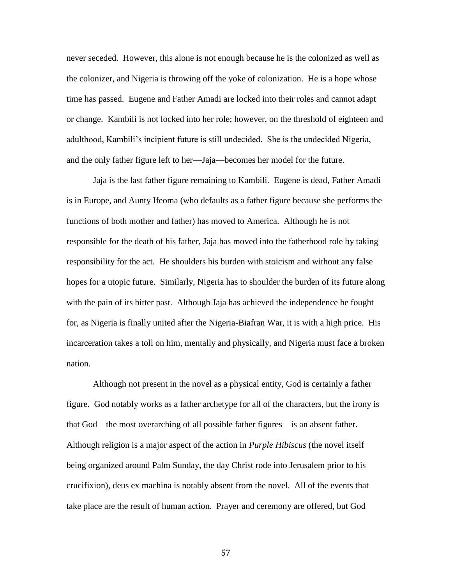never seceded. However, this alone is not enough because he is the colonized as well as the colonizer, and Nigeria is throwing off the yoke of colonization. He is a hope whose time has passed. Eugene and Father Amadi are locked into their roles and cannot adapt or change. Kambili is not locked into her role; however, on the threshold of eighteen and adulthood, Kambili"s incipient future is still undecided. She is the undecided Nigeria, and the only father figure left to her—Jaja—becomes her model for the future.

Jaja is the last father figure remaining to Kambili. Eugene is dead, Father Amadi is in Europe, and Aunty Ifeoma (who defaults as a father figure because she performs the functions of both mother and father) has moved to America. Although he is not responsible for the death of his father, Jaja has moved into the fatherhood role by taking responsibility for the act. He shoulders his burden with stoicism and without any false hopes for a utopic future. Similarly, Nigeria has to shoulder the burden of its future along with the pain of its bitter past. Although Jaja has achieved the independence he fought for, as Nigeria is finally united after the Nigeria-Biafran War, it is with a high price. His incarceration takes a toll on him, mentally and physically, and Nigeria must face a broken nation.

Although not present in the novel as a physical entity, God is certainly a father figure. God notably works as a father archetype for all of the characters, but the irony is that God—the most overarching of all possible father figures—is an absent father. Although religion is a major aspect of the action in *Purple Hibiscus* (the novel itself being organized around Palm Sunday, the day Christ rode into Jerusalem prior to his crucifixion), deus ex machina is notably absent from the novel. All of the events that take place are the result of human action. Prayer and ceremony are offered, but God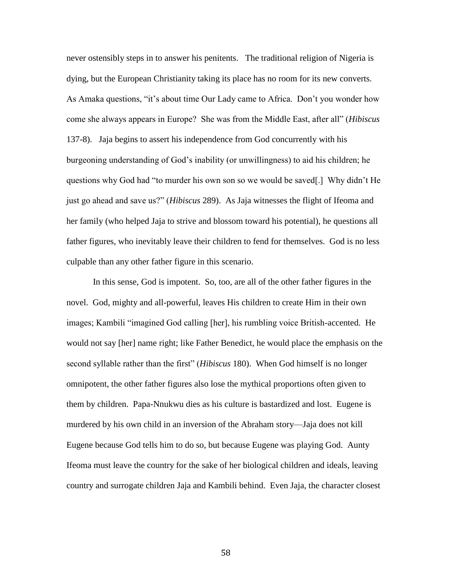never ostensibly steps in to answer his penitents. The traditional religion of Nigeria is dying, but the European Christianity taking its place has no room for its new converts. As Amaka questions, "it"s about time Our Lady came to Africa. Don"t you wonder how come she always appears in Europe? She was from the Middle East, after all" (*Hibiscus*  137-8). Jaja begins to assert his independence from God concurrently with his burgeoning understanding of God"s inability (or unwillingness) to aid his children; he questions why God had "to murder his own son so we would be saved[.] Why didn"t He just go ahead and save us?" (*Hibiscus* 289). As Jaja witnesses the flight of Ifeoma and her family (who helped Jaja to strive and blossom toward his potential), he questions all father figures, who inevitably leave their children to fend for themselves. God is no less culpable than any other father figure in this scenario.

In this sense, God is impotent. So, too, are all of the other father figures in the novel. God, mighty and all-powerful, leaves His children to create Him in their own images; Kambili "imagined God calling [her], his rumbling voice British-accented. He would not say [her] name right; like Father Benedict, he would place the emphasis on the second syllable rather than the first" (*Hibiscus* 180). When God himself is no longer omnipotent, the other father figures also lose the mythical proportions often given to them by children. Papa-Nnukwu dies as his culture is bastardized and lost. Eugene is murdered by his own child in an inversion of the Abraham story—Jaja does not kill Eugene because God tells him to do so, but because Eugene was playing God. Aunty Ifeoma must leave the country for the sake of her biological children and ideals, leaving country and surrogate children Jaja and Kambili behind. Even Jaja, the character closest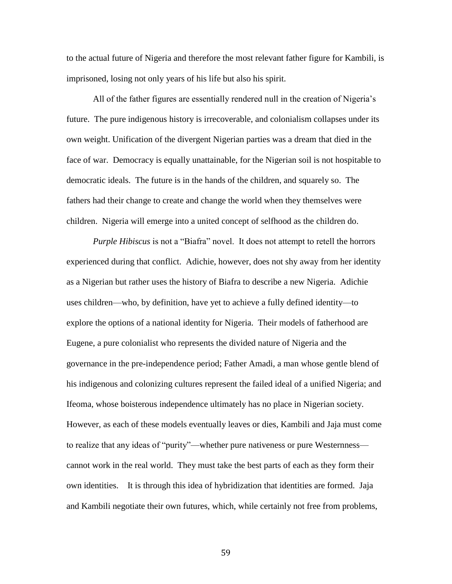to the actual future of Nigeria and therefore the most relevant father figure for Kambili, is imprisoned, losing not only years of his life but also his spirit.

All of the father figures are essentially rendered null in the creation of Nigeria"s future. The pure indigenous history is irrecoverable, and colonialism collapses under its own weight. Unification of the divergent Nigerian parties was a dream that died in the face of war. Democracy is equally unattainable, for the Nigerian soil is not hospitable to democratic ideals. The future is in the hands of the children, and squarely so. The fathers had their change to create and change the world when they themselves were children. Nigeria will emerge into a united concept of selfhood as the children do.

*Purple Hibiscus* is not a "Biafra" novel. It does not attempt to retell the horrors experienced during that conflict. Adichie, however, does not shy away from her identity as a Nigerian but rather uses the history of Biafra to describe a new Nigeria. Adichie uses children—who, by definition, have yet to achieve a fully defined identity—to explore the options of a national identity for Nigeria. Their models of fatherhood are Eugene, a pure colonialist who represents the divided nature of Nigeria and the governance in the pre-independence period; Father Amadi, a man whose gentle blend of his indigenous and colonizing cultures represent the failed ideal of a unified Nigeria; and Ifeoma, whose boisterous independence ultimately has no place in Nigerian society. However, as each of these models eventually leaves or dies, Kambili and Jaja must come to realize that any ideas of "purity"—whether pure nativeness or pure Westernness cannot work in the real world. They must take the best parts of each as they form their own identities. It is through this idea of hybridization that identities are formed. Jaja and Kambili negotiate their own futures, which, while certainly not free from problems,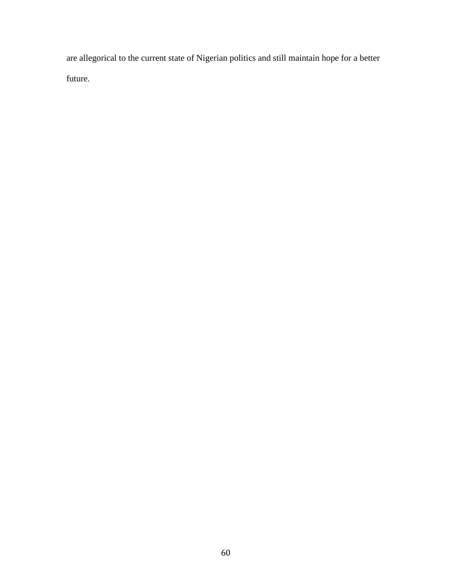are allegorical to the current state of Nigerian politics and still maintain hope for a better future.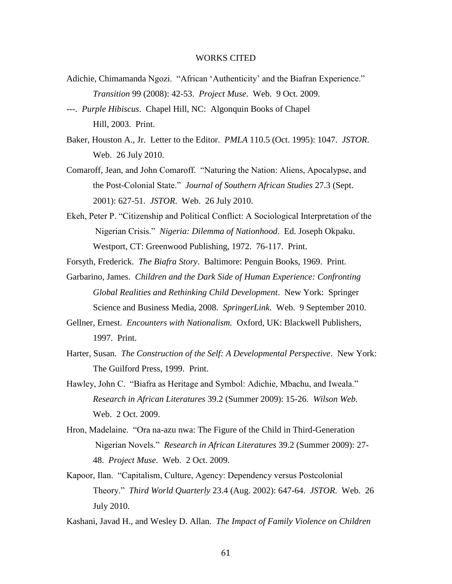#### WORKS CITED

- Adichie, Chimamanda Ngozi. "African "Authenticity" and the Biafran Experience." *Transition* 99 (2008): 42-53. *Project Muse*. Web. 9 Oct. 2009.
- ---. *Purple Hibiscus*. Chapel Hill, NC: Algonquin Books of Chapel Hill, 2003. Print.
- Baker, Houston A., Jr. Letter to the Editor. *PMLA* 110.5 (Oct. 1995): 1047. *JSTOR*. Web. 26 July 2010.
- Comaroff, Jean, and John Comaroff. "Naturing the Nation: Aliens, Apocalypse, and the Post-Colonial State." *Journal of Southern African Studies* 27.3 (Sept. 2001): 627-51. *JSTOR*. Web. 26 July 2010.
- Ekeh, Peter P. "Citizenship and Political Conflict: A Sociological Interpretation of the Nigerian Crisis." *Nigeria: Dilemma of Nationhood*. Ed. Joseph Okpaku. Westport, CT: Greenwood Publishing, 1972. 76-117. Print.

Forsyth, Frederick. *The Biafra Story*. Baltimore: Penguin Books, 1969. Print.

- Garbarino, James. *Children and the Dark Side of Human Experience: Confronting Global Realities and Rethinking Child Development*. New York: Springer Science and Business Media, 2008. *SpringerLink*. Web. 9 September 2010.
- Gellner, Ernest. *Encounters with Nationalism.* Oxford, UK: Blackwell Publishers, 1997. Print.
- Harter, Susan. *The Construction of the Self: A Developmental Perspective*. New York: The Guilford Press, 1999. Print.
- Hawley, John C. "Biafra as Heritage and Symbol: Adichie, Mbachu, and Iweala." *Research in African Literatures* 39.2 (Summer 2009): 15-26. *Wilson Web.* Web. 2 Oct. 2009.
- Hron, Madelaine. "Ora na-azu nwa: The Figure of the Child in Third-Generation Nigerian Novels." *Research in African Literatures* 39.2 (Summer 2009): 27- 48. *Project Muse*. Web. 2 Oct. 2009.
- Kapoor, Ilan. "Capitalism, Culture, Agency: Dependency versus Postcolonial Theory." *Third World Quarterly* 23.4 (Aug. 2002): 647-64. *JSTOR*. Web. 26 July 2010.

Kashani, Javad H., and Wesley D. Allan. *The Impact of Family Violence on Children*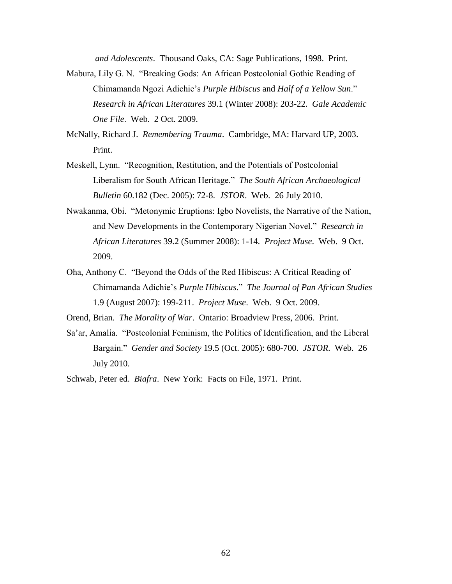*and Adolescents*. Thousand Oaks, CA: Sage Publications, 1998. Print.

- Mabura, Lily G. N. "Breaking Gods: An African Postcolonial Gothic Reading of Chimamanda Ngozi Adichie"s *Purple Hibiscus* and *Half of a Yellow Sun*." *Research in African Literatures* 39.1 (Winter 2008): 203-22. *Gale Academic One File*. Web. 2 Oct. 2009.
- McNally, Richard J. *Remembering Trauma*. Cambridge, MA: Harvard UP, 2003. Print.
- Meskell, Lynn. "Recognition, Restitution, and the Potentials of Postcolonial Liberalism for South African Heritage." *The South African Archaeological Bulletin* 60.182 (Dec. 2005): 72-8. *JSTOR*. Web. 26 July 2010.
- Nwakanma, Obi. "Metonymic Eruptions: Igbo Novelists, the Narrative of the Nation, and New Developments in the Contemporary Nigerian Novel." *Research in African Literatures* 39.2 (Summer 2008): 1-14. *Project Muse*. Web. 9 Oct. 2009.
- Oha, Anthony C. "Beyond the Odds of the Red Hibiscus: A Critical Reading of Chimamanda Adichie"s *Purple Hibiscus*." *The Journal of Pan African Studies* 1.9 (August 2007): 199-211. *Project Muse*. Web. 9 Oct. 2009.

Orend, Brian. *The Morality of War*. Ontario: Broadview Press, 2006. Print.

Sa"ar, Amalia. "Postcolonial Feminism, the Politics of Identification, and the Liberal Bargain." *Gender and Society* 19.5 (Oct. 2005): 680-700. *JSTOR*. Web. 26 July 2010.

Schwab, Peter ed. *Biafra*. New York: Facts on File, 1971. Print.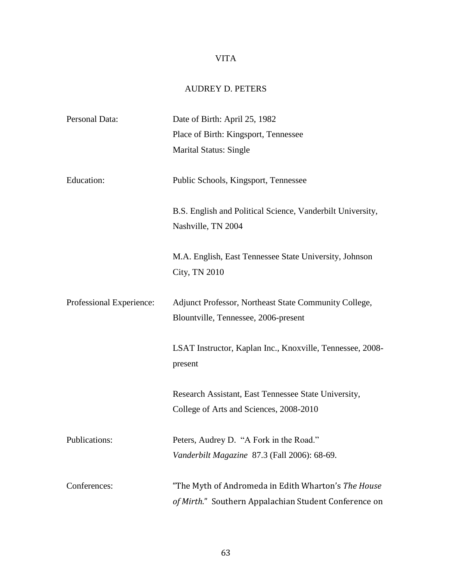# VITA

## AUDREY D. PETERS

| Personal Data:           | Date of Birth: April 25, 1982                                                                                |
|--------------------------|--------------------------------------------------------------------------------------------------------------|
|                          | Place of Birth: Kingsport, Tennessee                                                                         |
|                          | Marital Status: Single                                                                                       |
| Education:               | Public Schools, Kingsport, Tennessee                                                                         |
|                          | B.S. English and Political Science, Vanderbilt University,<br>Nashville, TN 2004                             |
|                          | M.A. English, East Tennessee State University, Johnson<br>City, TN 2010                                      |
| Professional Experience: | Adjunct Professor, Northeast State Community College,<br>Blountville, Tennessee, 2006-present                |
|                          | LSAT Instructor, Kaplan Inc., Knoxville, Tennessee, 2008-<br>present                                         |
|                          | Research Assistant, East Tennessee State University,<br>College of Arts and Sciences, 2008-2010              |
| Publications:            | Peters, Audrey D. "A Fork in the Road."<br>Vanderbilt Magazine 87.3 (Fall 2006): 68-69.                      |
| Conferences:             | "The Myth of Andromeda in Edith Wharton's The House<br>of Mirth." Southern Appalachian Student Conference on |